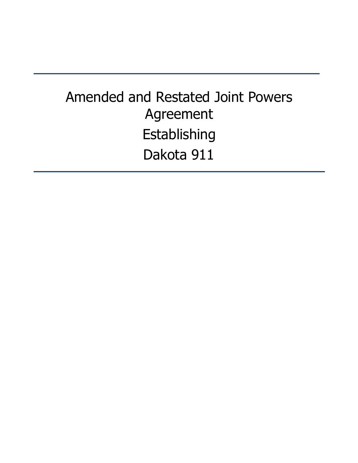# Amended and Restated Joint Powers Agreement Establishing Dakota 911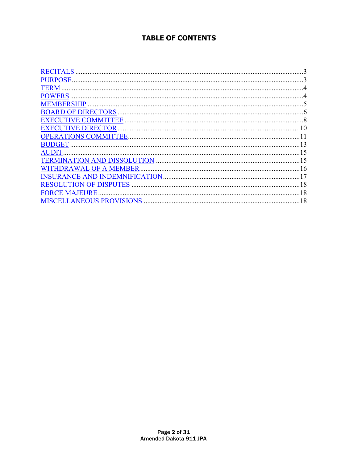### **TABLE OF CONTENTS**

| <b>RECITALS</b>        |    |
|------------------------|----|
|                        |    |
|                        |    |
| <b>POWERS</b>          |    |
|                        |    |
|                        |    |
|                        |    |
|                        |    |
|                        |    |
| BUDGET.                |    |
| <b>AUDIT</b>           |    |
|                        |    |
| WITHDRAWAL OF A MEMBER |    |
|                        |    |
|                        |    |
| <b>FORCE MAJEURE</b>   |    |
|                        | 18 |
|                        |    |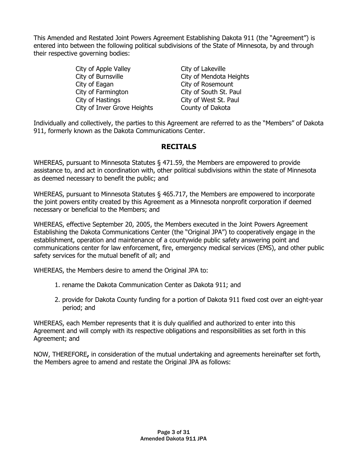This Amended and Restated Joint Powers Agreement Establishing Dakota 911 (the "Agreement") is entered into between the following political subdivisions of the State of Minnesota, by and through their respective governing bodies:

> City of Apple Valley City of Lakeville City of Burnsville City of Mendota Heights City of Eagan City of Rosemount<br>City of Farmington City of South St. Pa City of Hastings<br>City of Inver Grove Heights<br>County of Dakota City of Inver Grove Heights

City of South St. Paul

Individually and collectively, the parties to this Agreement are referred to as the "Members" of Dakota 911, formerly known as the Dakota Communications Center.

### **RECITALS**

WHEREAS, pursuant to Minnesota Statutes § 471.59, the Members are empowered to provide assistance to, and act in coordination with, other political subdivisions within the state of Minnesota as deemed necessary to benefit the public; and

WHEREAS, pursuant to Minnesota Statutes § 465.717, the Members are empowered to incorporate the joint powers entity created by this Agreement as a Minnesota nonprofit corporation if deemed necessary or beneficial to the Members; and

WHEREAS, effective September 20, 2005, the Members executed in the Joint Powers Agreement Establishing the Dakota Communications Center (the "Original JPA") to cooperatively engage in the establishment, operation and maintenance of a countywide public safety answering point and communications center for law enforcement, fire, emergency medical services (EMS), and other public safety services for the mutual benefit of all; and

WHEREAS, the Members desire to amend the Original JPA to:

- 1. rename the Dakota Communication Center as Dakota 911; and
- 2. provide for Dakota County funding for a portion of Dakota 911 fixed cost over an eight-year period; and

WHEREAS, each Member represents that it is duly qualified and authorized to enter into this Agreement and will comply with its respective obligations and responsibilities as set forth in this Agreement; and

NOW, THEREFORE**,** in consideration of the mutual undertaking and agreements hereinafter set forth, the Members agree to amend and restate the Original JPA as follows: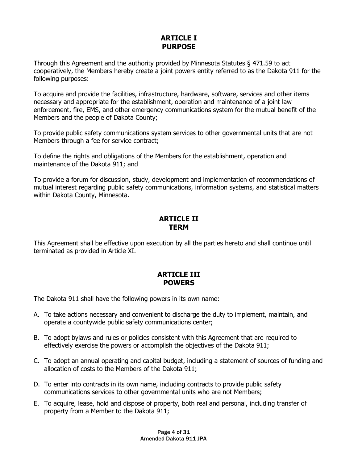#### **ARTICLE I PURPOSE**

Through this Agreement and the authority provided by Minnesota Statutes § 471.59 to act cooperatively, the Members hereby create a joint powers entity referred to as the Dakota 911 for the following purposes:

To acquire and provide the facilities, infrastructure, hardware, software, services and other items necessary and appropriate for the establishment, operation and maintenance of a joint law enforcement, fire, EMS, and other emergency communications system for the mutual benefit of the Members and the people of Dakota County;

To provide public safety communications system services to other governmental units that are not Members through a fee for service contract;

To define the rights and obligations of the Members for the establishment, operation and maintenance of the Dakota 911; and

To provide a forum for discussion, study, development and implementation of recommendations of mutual interest regarding public safety communications, information systems, and statistical matters within Dakota County, Minnesota.

#### **ARTICLE II TERM**

This Agreement shall be effective upon execution by all the parties hereto and shall continue until terminated as provided in Article XI.

### **ARTICLE III POWERS**

The Dakota 911 shall have the following powers in its own name:

- A. To take actions necessary and convenient to discharge the duty to implement, maintain, and operate a countywide public safety communications center;
- B. To adopt bylaws and rules or policies consistent with this Agreement that are required to effectively exercise the powers or accomplish the objectives of the Dakota 911;
- C. To adopt an annual operating and capital budget, including a statement of sources of funding and allocation of costs to the Members of the Dakota 911;
- D. To enter into contracts in its own name, including contracts to provide public safety communications services to other governmental units who are not Members;
- E. To acquire, lease, hold and dispose of property, both real and personal, including transfer of property from a Member to the Dakota 911;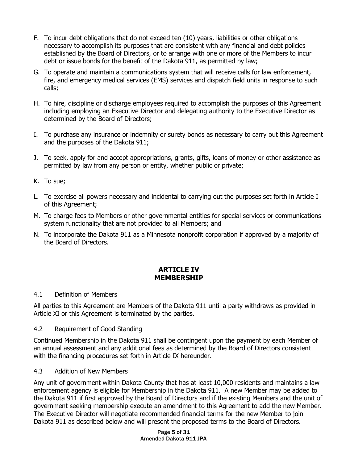- F. To incur debt obligations that do not exceed ten (10) years, liabilities or other obligations necessary to accomplish its purposes that are consistent with any financial and debt policies established by the Board of Directors, or to arrange with one or more of the Members to incur debt or issue bonds for the benefit of the Dakota 911, as permitted by law;
- G. To operate and maintain a communications system that will receive calls for law enforcement, fire, and emergency medical services (EMS) services and dispatch field units in response to such calls;
- H. To hire, discipline or discharge employees required to accomplish the purposes of this Agreement including employing an Executive Director and delegating authority to the Executive Director as determined by the Board of Directors;
- I. To purchase any insurance or indemnity or surety bonds as necessary to carry out this Agreement and the purposes of the Dakota 911;
- J. To seek, apply for and accept appropriations, grants, gifts, loans of money or other assistance as permitted by law from any person or entity, whether public or private;
- K. To sue;
- L. To exercise all powers necessary and incidental to carrying out the purposes set forth in Article I of this Agreement;
- M. To charge fees to Members or other governmental entities for special services or communications system functionality that are not provided to all Members; and
- N. To incorporate the Dakota 911 as a Minnesota nonprofit corporation if approved by a majority of the Board of Directors.

### **ARTICLE IV MEMBERSHIP**

#### 4.1 Definition of Members

All parties to this Agreement are Members of the Dakota 911 until a party withdraws as provided in Article XI or this Agreement is terminated by the parties.

4.2 Requirement of Good Standing

Continued Membership in the Dakota 911 shall be contingent upon the payment by each Member of an annual assessment and any additional fees as determined by the Board of Directors consistent with the financing procedures set forth in Article IX hereunder.

#### 4.3 Addition of New Members

Any unit of government within Dakota County that has at least 10,000 residents and maintains a law enforcement agency is eligible for Membership in the Dakota 911. A new Member may be added to the Dakota 911 if first approved by the Board of Directors and if the existing Members and the unit of government seeking membership execute an amendment to this Agreement to add the new Member. The Executive Director will negotiate recommended financial terms for the new Member to join Dakota 911 as described below and will present the proposed terms to the Board of Directors.

> Page 5 of 31 Amended Dakota 911 JPA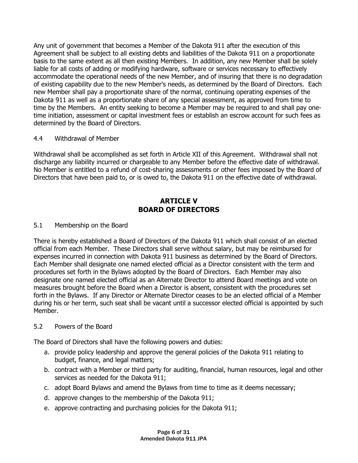Any unit of government that becomes a Member of the Dakota 911 after the execution of this Agreement shall be subject to all existing debts and liabilities of the Dakota 911 on a proportionate basis to the same extent as all then existing Members. In addition, any new Member shall be solely liable for all costs of adding or modifying hardware, software or services necessary to effectively accommodate the operational needs of the new Member, and of insuring that there is no degradation of existing capability due to the new Member's needs, as determined by the Board of Directors. Each new Member shall pay a proportionate share of the normal, continuing operating expenses of the Dakota 911 as well as a proportionate share of any special assessment, as approved from time to time by the Members. An entity seeking to become a Member may be required to and shall pay onetime initiation, assessment or capital investment fees or establish an escrow account for such fees as determined by the Board of Directors.

#### 4.4 Withdrawal of Member

Withdrawal shall be accomplished as set forth in Article XII of this Agreement. Withdrawal shall not discharge any liability incurred or chargeable to any Member before the effective date of withdrawal. No Member is entitled to a refund of cost-sharing assessments or other fees imposed by the Board of Directors that have been paid to, or is owed to, the Dakota 911 on the effective date of withdrawal.

### **ARTICLE V BOARD OF DIRECTORS**

#### 5.1 Membership on the Board

There is hereby established a Board of Directors of the Dakota 911 which shall consist of an elected official from each Member. These Directors shall serve without salary, but may be reimbursed for expenses incurred in connection with Dakota 911 business as determined by the Board of Directors. Each Member shall designate one named elected official as a Director consistent with the term and procedures set forth in the Bylaws adopted by the Board of Directors. Each Member may also designate one named elected official as an Alternate Director to attend Board meetings and vote on measures brought before the Board when a Director is absent, consistent with the procedures set forth in the Bylaws. If any Director or Alternate Director ceases to be an elected official of a Member during his or her term, such seat shall be vacant until a successor elected official is appointed by such Member.

#### 5.2 Powers of the Board

The Board of Directors shall have the following powers and duties:

- a. provide policy leadership and approve the general policies of the Dakota 911 relating to budget, finance, and legal matters;
- b. contract with a Member or third party for auditing, financial, human resources, legal and other services as needed for the Dakota 911;
- c. adopt Board Bylaws and amend the Bylaws from time to time as it deems necessary;
- d. approve changes to the membership of the Dakota 911;
- e. approve contracting and purchasing policies for the Dakota 911;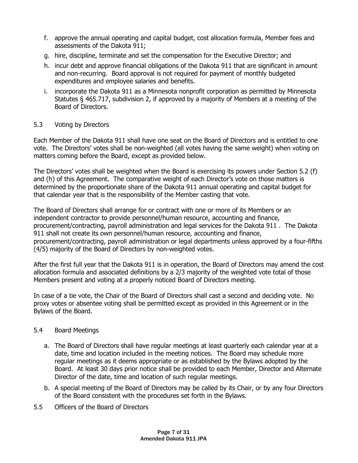- f. approve the annual operating and capital budget, cost allocation formula, Member fees and assessments of the Dakota 911;
- g. hire, discipline, terminate and set the compensation for the Executive Director; and
- h. incur debt and approve financial obligations of the Dakota 911 that are significant in amount and non-recurring. Board approval is not required for payment of monthly budgeted expenditures and employee salaries and benefits.
- i. incorporate the Dakota 911 as a Minnesota nonprofit corporation as permitted by Minnesota Statutes § 465.717, subdivision 2, if approved by a majority of Members at a meeting of the Board of Directors.

#### 5.3 Voting by Directors

Each Member of the Dakota 911 shall have one seat on the Board of Directors and is entitled to one vote. The Directors' votes shall be non-weighted (all votes having the same weight) when voting on matters coming before the Board, except as provided below.

The Directors' votes shall be weighted when the Board is exercising its powers under Section 5.2 (f) and (h) of this Agreement. The comparative weight of each Director's vote on those matters is determined by the proportionate share of the Dakota 911 annual operating and capital budget for that calendar year that is the responsibility of the Member casting that vote.

The Board of Directors shall arrange for or contract with one or more of its Members or an independent contractor to provide personnel/human resource, accounting and finance, procurement/contracting, payroll administration and legal services for the Dakota 911 . The Dakota 911 shall not create its own personnel/human resource, accounting and finance, procurement/contracting, payroll administration or legal departments unless approved by a four-fifths (4/5) majority of the Board of Directors by non-weighted votes.

After the first full year that the Dakota 911 is in operation, the Board of Directors may amend the cost allocation formula and associated definitions by a 2/3 majority of the weighted vote total of those Members present and voting at a properly noticed Board of Directors meeting.

In case of a tie vote, the Chair of the Board of Directors shall cast a second and deciding vote. No proxy votes or absentee voting shall be permitted except as provided in this Agreement or in the Bylaws of the Board.

#### 5.4 Board Meetings

- a. The Board of Directors shall have regular meetings at least quarterly each calendar year at a date, time and location included in the meeting notices. The Board may schedule more regular meetings as it deems appropriate or as established by the Bylaws adopted by the Board. At least 30 days prior notice shall be provided to each Member, Director and Alternate Director of the date, time and location of such regular meetings.
- b. A special meeting of the Board of Directors may be called by its Chair, or by any four Directors of the Board consistent with the procedures set forth in the Bylaws.
- 5.5 Officers of the Board of Directors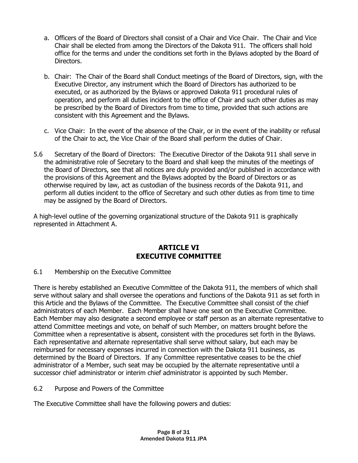- a. Officers of the Board of Directors shall consist of a Chair and Vice Chair. The Chair and Vice Chair shall be elected from among the Directors of the Dakota 911. The officers shall hold office for the terms and under the conditions set forth in the Bylaws adopted by the Board of Directors.
- b. Chair: The Chair of the Board shall Conduct meetings of the Board of Directors, sign, with the Executive Director, any instrument which the Board of Directors has authorized to be executed, or as authorized by the Bylaws or approved Dakota 911 procedural rules of operation, and perform all duties incident to the office of Chair and such other duties as may be prescribed by the Board of Directors from time to time, provided that such actions are consistent with this Agreement and the Bylaws.
- c. Vice Chair: In the event of the absence of the Chair, or in the event of the inability or refusal of the Chair to act, the Vice Chair of the Board shall perform the duties of Chair.
- 5.6 Secretary of the Board of Directors: The Executive Director of the Dakota 911 shall serve in the administrative role of Secretary to the Board and shall keep the minutes of the meetings of the Board of Directors, see that all notices are duly provided and/or published in accordance with the provisions of this Agreement and the Bylaws adopted by the Board of Directors or as otherwise required by law, act as custodian of the business records of the Dakota 911, and perform all duties incident to the office of Secretary and such other duties as from time to time may be assigned by the Board of Directors.

A high-level outline of the governing organizational structure of the Dakota 911 is graphically represented in Attachment A.

### **ARTICLE VI EXECUTIVE COMMITTEE**

#### 6.1 Membership on the Executive Committee

There is hereby established an Executive Committee of the Dakota 911, the members of which shall serve without salary and shall oversee the operations and functions of the Dakota 911 as set forth in this Article and the Bylaws of the Committee. The Executive Committee shall consist of the chief administrators of each Member. Each Member shall have one seat on the Executive Committee. Each Member may also designate a second employee or staff person as an alternate representative to attend Committee meetings and vote, on behalf of such Member, on matters brought before the Committee when a representative is absent, consistent with the procedures set forth in the Bylaws. Each representative and alternate representative shall serve without salary, but each may be reimbursed for necessary expenses incurred in connection with the Dakota 911 business, as determined by the Board of Directors. If any Committee representative ceases to be the chief administrator of a Member, such seat may be occupied by the alternate representative until a successor chief administrator or interim chief administrator is appointed by such Member.

6.2 Purpose and Powers of the Committee

The Executive Committee shall have the following powers and duties: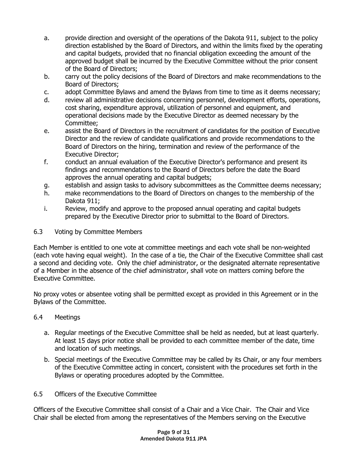- a. provide direction and oversight of the operations of the Dakota 911, subject to the policy direction established by the Board of Directors, and within the limits fixed by the operating and capital budgets, provided that no financial obligation exceeding the amount of the approved budget shall be incurred by the Executive Committee without the prior consent of the Board of Directors;
- b. carry out the policy decisions of the Board of Directors and make recommendations to the Board of Directors;
- c. adopt Committee Bylaws and amend the Bylaws from time to time as it deems necessary;
- d. review all administrative decisions concerning personnel, development efforts, operations, cost sharing, expenditure approval, utilization of personnel and equipment, and operational decisions made by the Executive Director as deemed necessary by the Committee;
- e. assist the Board of Directors in the recruitment of candidates for the position of Executive Director and the review of candidate qualifications and provide recommendations to the Board of Directors on the hiring, termination and review of the performance of the Executive Director;
- f. conduct an annual evaluation of the Executive Director's performance and present its findings and recommendations to the Board of Directors before the date the Board approves the annual operating and capital budgets;
- g. establish and assign tasks to advisory subcommittees as the Committee deems necessary;
- h. make recommendations to the Board of Directors on changes to the membership of the Dakota 911;
- i. Review, modify and approve to the proposed annual operating and capital budgets prepared by the Executive Director prior to submittal to the Board of Directors.

#### 6.3 Voting by Committee Members

Each Member is entitled to one vote at committee meetings and each vote shall be non-weighted (each vote having equal weight). In the case of a tie, the Chair of the Executive Committee shall cast a second and deciding vote. Only the chief administrator, or the designated alternate representative of a Member in the absence of the chief administrator, shall vote on matters coming before the Executive Committee.

No proxy votes or absentee voting shall be permitted except as provided in this Agreement or in the Bylaws of the Committee.

#### 6.4 Meetings

- a. Regular meetings of the Executive Committee shall be held as needed, but at least quarterly. At least 15 days prior notice shall be provided to each committee member of the date, time and location of such meetings.
- b. Special meetings of the Executive Committee may be called by its Chair, or any four members of the Executive Committee acting in concert, consistent with the procedures set forth in the Bylaws or operating procedures adopted by the Committee.
- 6.5 Officers of the Executive Committee

Officers of the Executive Committee shall consist of a Chair and a Vice Chair. The Chair and Vice Chair shall be elected from among the representatives of the Members serving on the Executive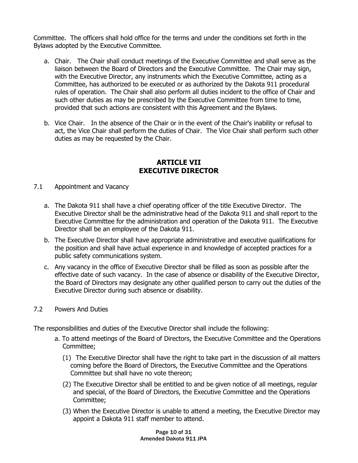Committee. The officers shall hold office for the terms and under the conditions set forth in the Bylaws adopted by the Executive Committee.

- a. Chair. The Chair shall conduct meetings of the Executive Committee and shall serve as the liaison between the Board of Directors and the Executive Committee. The Chair may sign, with the Executive Director, any instruments which the Executive Committee, acting as a Committee, has authorized to be executed or as authorized by the Dakota 911 procedural rules of operation. The Chair shall also perform all duties incident to the office of Chair and such other duties as may be prescribed by the Executive Committee from time to time, provided that such actions are consistent with this Agreement and the Bylaws.
- b. Vice Chair. In the absence of the Chair or in the event of the Chair's inability or refusal to act, the Vice Chair shall perform the duties of Chair. The Vice Chair shall perform such other duties as may be requested by the Chair.

#### **ARTICLE VII EXECUTIVE DIRECTOR**

- 7.1 Appointment and Vacancy
	- a. The Dakota 911 shall have a chief operating officer of the title Executive Director. The Executive Director shall be the administrative head of the Dakota 911 and shall report to the Executive Committee for the administration and operation of the Dakota 911. The Executive Director shall be an employee of the Dakota 911.
	- b. The Executive Director shall have appropriate administrative and executive qualifications for the position and shall have actual experience in and knowledge of accepted practices for a public safety communications system.
	- c. Any vacancy in the office of Executive Director shall be filled as soon as possible after the effective date of such vacancy. In the case of absence or disability of the Executive Director, the Board of Directors may designate any other qualified person to carry out the duties of the Executive Director during such absence or disability.
- 7.2 Powers And Duties

The responsibilities and duties of the Executive Director shall include the following:

- a. To attend meetings of the Board of Directors, the Executive Committee and the Operations Committee;
	- (1) The Executive Director shall have the right to take part in the discussion of all matters coming before the Board of Directors, the Executive Committee and the Operations Committee but shall have no vote thereon;
	- (2) The Executive Director shall be entitled to and be given notice of all meetings, regular and special, of the Board of Directors, the Executive Committee and the Operations Committee;
	- (3) When the Executive Director is unable to attend a meeting, the Executive Director may appoint a Dakota 911 staff member to attend.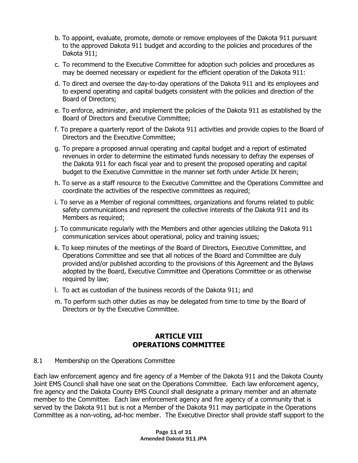- b. To appoint, evaluate, promote, demote or remove employees of the Dakota 911 pursuant to the approved Dakota 911 budget and according to the policies and procedures of the Dakota 911;
- c. To recommend to the Executive Committee for adoption such policies and procedures as may be deemed necessary or expedient for the efficient operation of the Dakota 911:
- d. To direct and oversee the day-to-day operations of the Dakota 911 and its employees and to expend operating and capital budgets consistent with the policies and direction of the Board of Directors;
- e. To enforce, administer, and implement the policies of the Dakota 911 as established by the Board of Directors and Executive Committee;
- f. To prepare a quarterly report of the Dakota 911 activities and provide copies to the Board of Directors and the Executive Committee;
- g. To prepare a proposed annual operating and capital budget and a report of estimated revenues in order to determine the estimated funds necessary to defray the expenses of the Dakota 911 for each fiscal year and to present the proposed operating and capital budget to the Executive Committee in the manner set forth under Article IX herein;
- h. To serve as a staff resource to the Executive Committee and the Operations Committee and coordinate the activities of the respective committees as required;
- i. To serve as a Member of regional committees, organizations and forums related to public safety communications and represent the collective interests of the Dakota 911 and its Members as required;
- j. To communicate regularly with the Members and other agencies utilizing the Dakota 911 communication services about operational, policy and training issues;
- k. To keep minutes of the meetings of the Board of Directors, Executive Committee, and Operations Committee and see that all notices of the Board and Committee are duly provided and/or published according to the provisions of this Agreement and the Bylaws adopted by the Board, Executive Committee and Operations Committee or as otherwise required by law;
- l. To act as custodian of the business records of the Dakota 911; and
- m. To perform such other duties as may be delegated from time to time by the Board of Directors or by the Executive Committee.

### **ARTICLE VIII OPERATIONS COMMITTEE**

#### 8.1 Membership on the Operations Committee

Each law enforcement agency and fire agency of a Member of the Dakota 911 and the Dakota County Joint EMS Council shall have one seat on the Operations Committee. Each law enforcement agency, fire agency and the Dakota County EMS Council shall designate a primary member and an alternate member to the Committee. Each law enforcement agency and fire agency of a community that is served by the Dakota 911 but is not a Member of the Dakota 911 may participate in the Operations Committee as a non-voting, ad-hoc member. The Executive Director shall provide staff support to the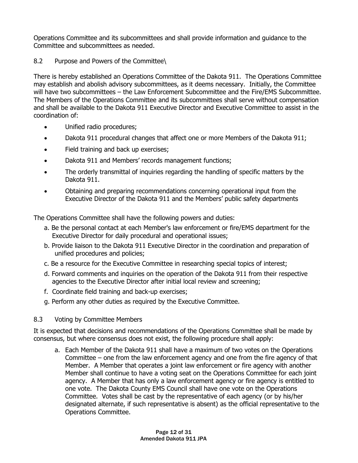Operations Committee and its subcommittees and shall provide information and guidance to the Committee and subcommittees as needed.

#### 8.2 Purpose and Powers of the Committee\

There is hereby established an Operations Committee of the Dakota 911. The Operations Committee may establish and abolish advisory subcommittees, as it deems necessary. Initially, the Committee will have two subcommittees – the Law Enforcement Subcommittee and the Fire/EMS Subcommittee. The Members of the Operations Committee and its subcommittees shall serve without compensation and shall be available to the Dakota 911 Executive Director and Executive Committee to assist in the coordination of:

- Unified radio procedures;
- Dakota 911 procedural changes that affect one or more Members of the Dakota 911;
- Field training and back up exercises;
- Dakota 911 and Members' records management functions;
- The orderly transmittal of inquiries regarding the handling of specific matters by the Dakota 911.
- Obtaining and preparing recommendations concerning operational input from the Executive Director of the Dakota 911 and the Members' public safety departments

The Operations Committee shall have the following powers and duties:

- a. Be the personal contact at each Member's law enforcement or fire/EMS department for the Executive Director for daily procedural and operational issues;
- b. Provide liaison to the Dakota 911 Executive Director in the coordination and preparation of unified procedures and policies;
- c. Be a resource for the Executive Committee in researching special topics of interest;
- d. Forward comments and inquiries on the operation of the Dakota 911 from their respective agencies to the Executive Director after initial local review and screening;
- f. Coordinate field training and back-up exercises;
- g. Perform any other duties as required by the Executive Committee.
- 8.3 Voting by Committee Members

It is expected that decisions and recommendations of the Operations Committee shall be made by consensus, but where consensus does not exist, the following procedure shall apply:

a. Each Member of the Dakota 911 shall have a maximum of two votes on the Operations Committee – one from the law enforcement agency and one from the fire agency of that Member. A Member that operates a joint law enforcement or fire agency with another Member shall continue to have a voting seat on the Operations Committee for each joint agency. A Member that has only a law enforcement agency or fire agency is entitled to one vote. The Dakota County EMS Council shall have one vote on the Operations Committee. Votes shall be cast by the representative of each agency (or by his/her designated alternate, if such representative is absent) as the official representative to the Operations Committee.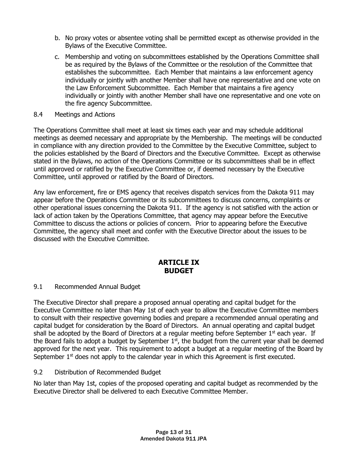- b. No proxy votes or absentee voting shall be permitted except as otherwise provided in the Bylaws of the Executive Committee.
- c. Membership and voting on subcommittees established by the Operations Committee shall be as required by the Bylaws of the Committee or the resolution of the Committee that establishes the subcommittee. Each Member that maintains a law enforcement agency individually or jointly with another Member shall have one representative and one vote on the Law Enforcement Subcommittee. Each Member that maintains a fire agency individually or jointly with another Member shall have one representative and one vote on the fire agency Subcommittee.
- 8.4 Meetings and Actions

The Operations Committee shall meet at least six times each year and may schedule additional meetings as deemed necessary and appropriate by the Membership. The meetings will be conducted in compliance with any direction provided to the Committee by the Executive Committee, subject to the policies established by the Board of Directors and the Executive Committee. Except as otherwise stated in the Bylaws, no action of the Operations Committee or its subcommittees shall be in effect until approved or ratified by the Executive Committee or, if deemed necessary by the Executive Committee, until approved or ratified by the Board of Directors.

Any law enforcement, fire or EMS agency that receives dispatch services from the Dakota 911 may appear before the Operations Committee or its subcommittees to discuss concerns, complaints or other operational issues concerning the Dakota 911. If the agency is not satisfied with the action or lack of action taken by the Operations Committee, that agency may appear before the Executive Committee to discuss the actions or policies of concern. Prior to appearing before the Executive Committee, the agency shall meet and confer with the Executive Director about the issues to be discussed with the Executive Committee.

### **ARTICLE IX BUDGET**

#### 9.1 Recommended Annual Budget

The Executive Director shall prepare a proposed annual operating and capital budget for the Executive Committee no later than May 1st of each year to allow the Executive Committee members to consult with their respective governing bodies and prepare a recommended annual operating and capital budget for consideration by the Board of Directors. An annual operating and capital budget shall be adopted by the Board of Directors at a regular meeting before September  $1<sup>st</sup>$  each year. If the Board fails to adopt a budget by September  $1<sup>st</sup>$ , the budget from the current year shall be deemed approved for the next year. This requirement to adopt a budget at a regular meeting of the Board by September  $1<sup>st</sup>$  does not apply to the calendar year in which this Agreement is first executed.

9.2 Distribution of Recommended Budget

No later than May 1st, copies of the proposed operating and capital budget as recommended by the Executive Director shall be delivered to each Executive Committee Member.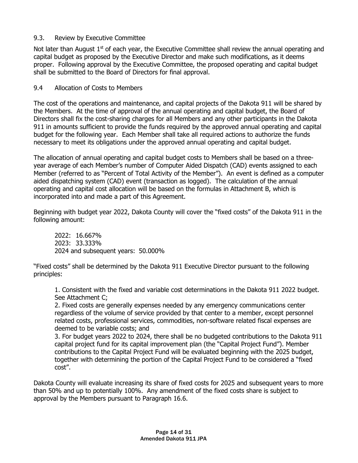#### 9.3. Review by Executive Committee

Not later than August  $1<sup>st</sup>$  of each year, the Executive Committee shall review the annual operating and capital budget as proposed by the Executive Director and make such modifications, as it deems proper. Following approval by the Executive Committee, the proposed operating and capital budget shall be submitted to the Board of Directors for final approval.

#### 9.4 Allocation of Costs to Members

The cost of the operations and maintenance, and capital projects of the Dakota 911 will be shared by the Members. At the time of approval of the annual operating and capital budget, the Board of Directors shall fix the cost-sharing charges for all Members and any other participants in the Dakota 911 in amounts sufficient to provide the funds required by the approved annual operating and capital budget for the following year. Each Member shall take all required actions to authorize the funds necessary to meet its obligations under the approved annual operating and capital budget.

The allocation of annual operating and capital budget costs to Members shall be based on a threeyear average of each Member's number of Computer Aided Dispatch (CAD) events assigned to each Member (referred to as "Percent of Total Activity of the Member"). An event is defined as a computer aided dispatching system (CAD) event (transaction as logged). The calculation of the annual operating and capital cost allocation will be based on the formulas in Attachment B, which is incorporated into and made a part of this Agreement.

Beginning with budget year 2022, Dakota County will cover the "fixed costs" of the Dakota 911 in the following amount:

2022: 16.667% 2023: 33.333% 2024 and subsequent years: 50.000%

"Fixed costs" shall be determined by the Dakota 911 Executive Director pursuant to the following principles:

1. Consistent with the fixed and variable cost determinations in the Dakota 911 2022 budget. See Attachment C;

2. Fixed costs are generally expenses needed by any emergency communications center regardless of the volume of service provided by that center to a member, except personnel related costs, professional services, commodities, non-software related fiscal expenses are deemed to be variable costs; and

3. For budget years 2022 to 2024, there shall be no budgeted contributions to the Dakota 911 capital project fund for its capital improvement plan (the "Capital Project Fund"). Member contributions to the Capital Project Fund will be evaluated beginning with the 2025 budget, together with determining the portion of the Capital Project Fund to be considered a "fixed cost".

Dakota County will evaluate increasing its share of fixed costs for 2025 and subsequent years to more than 50% and up to potentially 100%. Any amendment of the fixed costs share is subject to approval by the Members pursuant to Paragraph 16.6.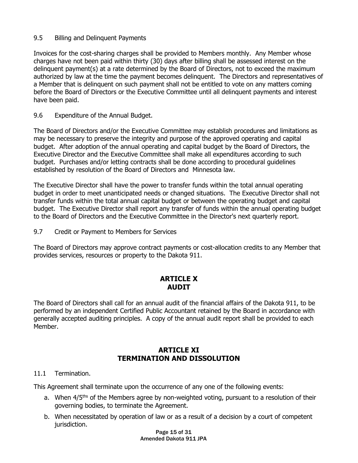#### 9.5 Billing and Delinquent Payments

Invoices for the cost-sharing charges shall be provided to Members monthly. Any Member whose charges have not been paid within thirty (30) days after billing shall be assessed interest on the delinquent payment(s) at a rate determined by the Board of Directors, not to exceed the maximum authorized by law at the time the payment becomes delinquent. The Directors and representatives of a Member that is delinquent on such payment shall not be entitled to vote on any matters coming before the Board of Directors or the Executive Committee until all delinquent payments and interest have been paid.

9.6 Expenditure of the Annual Budget.

The Board of Directors and/or the Executive Committee may establish procedures and limitations as may be necessary to preserve the integrity and purpose of the approved operating and capital budget. After adoption of the annual operating and capital budget by the Board of Directors, the Executive Director and the Executive Committee shall make all expenditures according to such budget. Purchases and/or letting contracts shall be done according to procedural guidelines established by resolution of the Board of Directors and Minnesota law.

The Executive Director shall have the power to transfer funds within the total annual operating budget in order to meet unanticipated needs or changed situations. The Executive Director shall not transfer funds within the total annual capital budget or between the operating budget and capital budget. The Executive Director shall report any transfer of funds within the annual operating budget to the Board of Directors and the Executive Committee in the Director's next quarterly report.

9.7 Credit or Payment to Members for Services

The Board of Directors may approve contract payments or cost-allocation credits to any Member that provides services, resources or property to the Dakota 911.

### **ARTICLE X AUDIT**

The Board of Directors shall call for an annual audit of the financial affairs of the Dakota 911, to be performed by an independent Certified Public Accountant retained by the Board in accordance with generally accepted auditing principles. A copy of the annual audit report shall be provided to each Member.

### **ARTICLE XI TERMINATION AND DISSOLUTION**

#### 11.1 Termination.

This Agreement shall terminate upon the occurrence of any one of the following events:

- a. When  $4/5<sup>ths</sup>$  of the Members agree by non-weighted voting, pursuant to a resolution of their governing bodies, to terminate the Agreement.
- b. When necessitated by operation of law or as a result of a decision by a court of competent jurisdiction.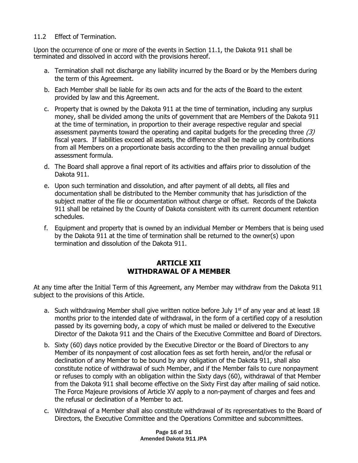#### 11.2 Effect of Termination.

Upon the occurrence of one or more of the events in Section 11.1, the Dakota 911 shall be terminated and dissolved in accord with the provisions hereof.

- a. Termination shall not discharge any liability incurred by the Board or by the Members during the term of this Agreement.
- b. Each Member shall be liable for its own acts and for the acts of the Board to the extent provided by law and this Agreement.
- c. Property that is owned by the Dakota 911 at the time of termination, including any surplus money, shall be divided among the units of government that are Members of the Dakota 911 at the time of termination, in proportion to their average respective regular and special assessment payments toward the operating and capital budgets for the preceding three  $(3)$ fiscal years. If liabilities exceed all assets, the difference shall be made up by contributions from all Members on a proportionate basis according to the then prevailing annual budget assessment formula.
- d. The Board shall approve a final report of its activities and affairs prior to dissolution of the Dakota 911.
- e. Upon such termination and dissolution, and after payment of all debts, all files and documentation shall be distributed to the Member community that has jurisdiction of the subject matter of the file or documentation without charge or offset. Records of the Dakota 911 shall be retained by the County of Dakota consistent with its current document retention schedules.
- f. Equipment and property that is owned by an individual Member or Members that is being used by the Dakota 911 at the time of termination shall be returned to the owner(s) upon termination and dissolution of the Dakota 911.

### **ARTICLE XII WITHDRAWAL OF A MEMBER**

At any time after the Initial Term of this Agreement, any Member may withdraw from the Dakota 911 subject to the provisions of this Article.

- a. Such withdrawing Member shall give written notice before July  $1<sup>st</sup>$  of any year and at least 18 months prior to the intended date of withdrawal, in the form of a certified copy of a resolution passed by its governing body, a copy of which must be mailed or delivered to the Executive Director of the Dakota 911 and the Chairs of the Executive Committee and Board of Directors.
- b. Sixty (60) days notice provided by the Executive Director or the Board of Directors to any Member of its nonpayment of cost allocation fees as set forth herein, and/or the refusal or declination of any Member to be bound by any obligation of the Dakota 911, shall also constitute notice of withdrawal of such Member, and if the Member fails to cure nonpayment or refuses to comply with an obligation within the Sixty days (60), withdrawal of that Member from the Dakota 911 shall become effective on the Sixty First day after mailing of said notice. The Force Majeure provisions of Article XV apply to a non-payment of charges and fees and the refusal or declination of a Member to act.
- c. Withdrawal of a Member shall also constitute withdrawal of its representatives to the Board of Directors, the Executive Committee and the Operations Committee and subcommittees.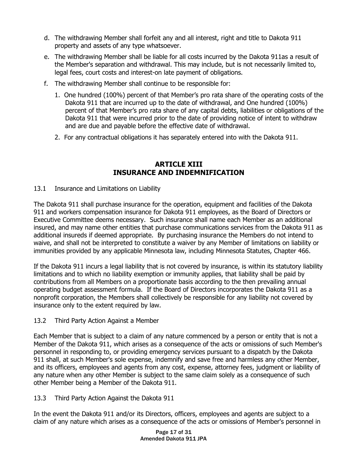- d. The withdrawing Member shall forfeit any and all interest, right and title to Dakota 911 property and assets of any type whatsoever.
- e. The withdrawing Member shall be liable for all costs incurred by the Dakota 911as a result of the Member's separation and withdrawal. This may include, but is not necessarily limited to, legal fees, court costs and interest-on late payment of obligations.
- f. The withdrawing Member shall continue to be responsible for:
	- 1. One hundred (100%) percent of that Member's pro rata share of the operating costs of the Dakota 911 that are incurred up to the date of withdrawal, and One hundred (100%) percent of that Member's pro rata share of any capital debts, liabilities or obligations of the Dakota 911 that were incurred prior to the date of providing notice of intent to withdraw and are due and payable before the effective date of withdrawal.
	- 2. For any contractual obligations it has separately entered into with the Dakota 911.

#### **ARTICLE XIII INSURANCE AND INDEMNIFICATION**

#### 13.1 Insurance and Limitations on Liability

The Dakota 911 shall purchase insurance for the operation, equipment and facilities of the Dakota 911 and workers compensation insurance for Dakota 911 employees, as the Board of Directors or Executive Committee deems necessary. Such insurance shall name each Member as an additional insured, and may name other entities that purchase communications services from the Dakota 911 as additional insureds if deemed appropriate. By purchasing insurance the Members do not intend to waive, and shall not be interpreted to constitute a waiver by any Member of limitations on liability or immunities provided by any applicable Minnesota law, including Minnesota Statutes, Chapter 466.

If the Dakota 911 incurs a legal liability that is not covered by insurance, is within its statutory liability limitations and to which no liability exemption or immunity applies, that liability shall be paid by contributions from all Members on a proportionate basis according to the then prevailing annual operating budget assessment formula. If the Board of Directors incorporates the Dakota 911 as a nonprofit corporation, the Members shall collectively be responsible for any liability not covered by insurance only to the extent required by law.

#### 13.2 Third Party Action Against a Member

Each Member that is subject to a claim of any nature commenced by a person or entity that is not a Member of the Dakota 911, which arises as a consequence of the acts or omissions of such Member's personnel in responding to, or providing emergency services pursuant to a dispatch by the Dakota 911 shall, at such Member's sole expense, indemnify and save free and harmless any other Member, and its officers, employees and agents from any cost, expense, attorney fees, judgment or liability of any nature when any other Member is subject to the same claim solely as a consequence of such other Member being a Member of the Dakota 911.

#### 13.3 Third Party Action Against the Dakota 911

In the event the Dakota 911 and/or its Directors, officers, employees and agents are subject to a claim of any nature which arises as a consequence of the acts or omissions of Member's personnel in

> Page 17 of 31 Amended Dakota 911 JPA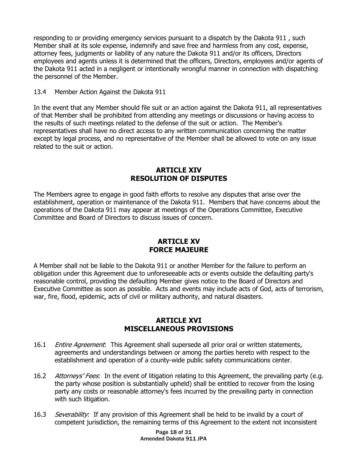responding to or providing emergency services pursuant to a dispatch by the Dakota 911 , such Member shall at its sole expense, indemnify and save free and harmless from any cost, expense, attorney fees, judgments or liability of any nature the Dakota 911 and/or its officers, Directors employees and agents unless it is determined that the officers, Directors, employees and/or agents of the Dakota 911 acted in a negligent or intentionally wrongful manner in connection with dispatching the personnel of the Member.

#### 13.4 Member Action Against the Dakota 911

In the event that any Member should file suit or an action against the Dakota 911, all representatives of that Member shall be prohibited from attending any meetings or discussions or having access to the results of such meetings related to the defense of the suit or action. The Member's representatives shall have no direct access to any written communication concerning the matter except by legal process, and no representative of the Member shall be allowed to vote on any issue related to the suit or action.

#### **ARTICLE XIV RESOLUTION OF DISPUTES**

The Members agree to engage in good faith efforts to resolve any disputes that arise over the establishment, operation or maintenance of the Dakota 911. Members that have concerns about the operations of the Dakota 911 may appear at meetings of the Operations Committee, Executive Committee and Board of Directors to discuss issues of concern.

#### **ARTICLE XV FORCE MAJEURE**

A Member shall not be liable to the Dakota 911 or another Member for the failure to perform an obligation under this Agreement due to unforeseeable acts or events outside the defaulting party's reasonable control, providing the defaulting Member gives notice to the Board of Directors and Executive Committee as soon as possible. Acts and events may include acts of God, acts of terrorism, war, fire, flood, epidemic, acts of civil or military authority, and natural disasters.

#### **ARTICLE XVI MISCELLANEOUS PROVISIONS**

- 16.1 *Entire Agreement*: This Agreement shall supersede all prior oral or written statements, agreements and understandings between or among the parties hereto with respect to the establishment and operation of a county-wide public safety communications center.
- 16.2 Attorneys' Fees. In the event of litigation relating to this Agreement, the prevailing party (e.g. the party whose position is substantially upheld) shall be entitled to recover from the losing party any costs or reasonable attorney's fees incurred by the prevailing party in connection with such litigation.
- 16.3 Severability: If any provision of this Agreement shall be held to be invalid by a court of competent jurisdiction, the remaining terms of this Agreement to the extent not inconsistent

Page 18 of 31 Amended Dakota 911 JPA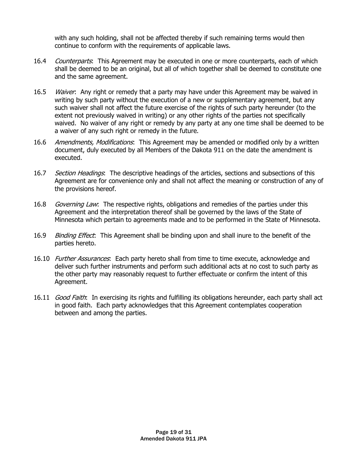with any such holding, shall not be affected thereby if such remaining terms would then continue to conform with the requirements of applicable laws.

- 16.4 Counterparts: This Agreement may be executed in one or more counterparts, each of which shall be deemed to be an original, but all of which together shall be deemed to constitute one and the same agreement.
- 16.5 *Waiver*: Any right or remedy that a party may have under this Agreement may be waived in writing by such party without the execution of a new or supplementary agreement, but any such waiver shall not affect the future exercise of the rights of such party hereunder (to the extent not previously waived in writing) or any other rights of the parties not specifically waived. No waiver of any right or remedy by any party at any one time shall be deemed to be a waiver of any such right or remedy in the future.
- 16.6 Amendments, Modifications: This Agreement may be amended or modified only by a written document, duly executed by all Members of the Dakota 911 on the date the amendment is executed.
- 16.7 Section Headings. The descriptive headings of the articles, sections and subsections of this Agreement are for convenience only and shall not affect the meaning or construction of any of the provisions hereof.
- 16.8 *Governing Law*: The respective rights, obligations and remedies of the parties under this Agreement and the interpretation thereof shall be governed by the laws of the State of Minnesota which pertain to agreements made and to be performed in the State of Minnesota.
- 16.9 Binding Effect: This Agreement shall be binding upon and shall inure to the benefit of the parties hereto.
- 16.10 *Further Assurances*: Each party hereto shall from time to time execute, acknowledge and deliver such further instruments and perform such additional acts at no cost to such party as the other party may reasonably request to further effectuate or confirm the intent of this Agreement.
- 16.11 *Good Faith*: In exercising its rights and fulfilling its obligations hereunder, each party shall act in good faith. Each party acknowledges that this Agreement contemplates cooperation between and among the parties.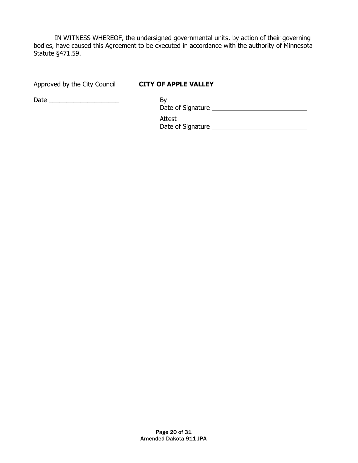IN WITNESS WHEREOF, the undersigned governmental units, by action of their governing bodies, have caused this Agreement to be executed in accordance with the authority of Minnesota Statute §471.59.

Approved by the City Council **CITY OF APPLE VALLEY**

Date \_\_\_\_\_\_\_\_\_\_\_\_\_\_\_\_\_\_\_\_ By

| Bv                |
|-------------------|
| Date of Signature |
|                   |
| Attest            |
| Date of Signature |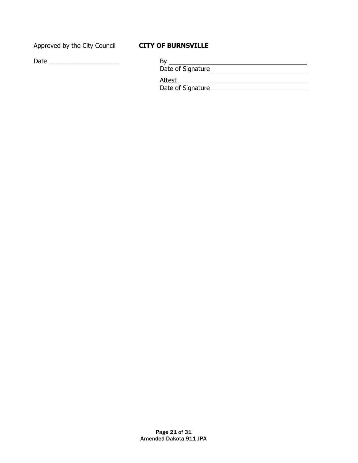Approved by the City Council **CITY OF BURNSVILLE**

| Date |  |  |  |  |  |
|------|--|--|--|--|--|
|      |  |  |  |  |  |

| Date of Signature |
|-------------------|
| Attest            |
| Date of Signature |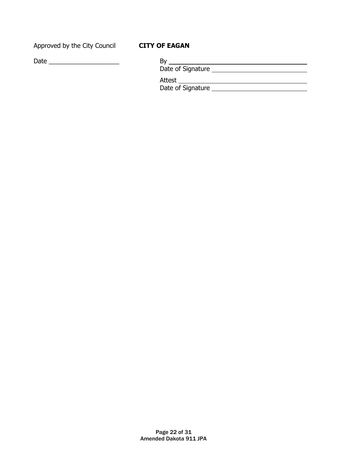Approved by the City Council **CITY OF EAGAN**

Date \_\_\_\_\_\_\_\_\_\_\_\_\_\_\_\_\_\_\_\_ By

| B٧                |  |
|-------------------|--|
| Date of Signature |  |
| Attest            |  |
| Date of Signature |  |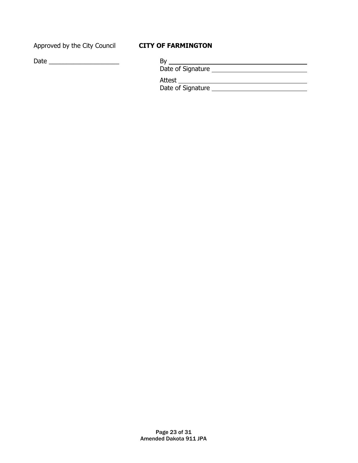Approved by the City Council **CITY OF FARMINGTON**

| Da<br>эго<br>- - | - |
|------------------|---|
|------------------|---|

| Bν                |  |
|-------------------|--|
| Date of Signature |  |
| Attest            |  |
| Date of Signature |  |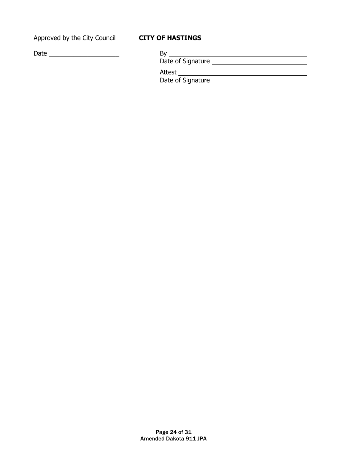Approved by the City Council **CITY OF HASTINGS**

| Date | Bv<br>Date of Signature     |  |
|------|-----------------------------|--|
|      | Attest<br>Date of Signature |  |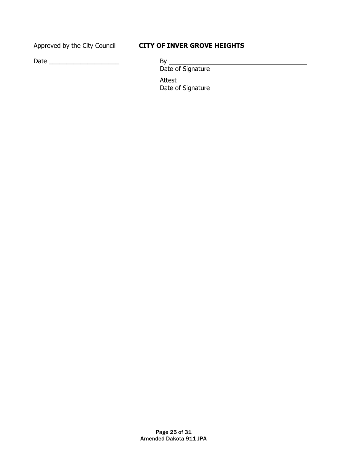### Approved by the City Council **CITY OF INVER GROVE HEIGHTS**

| Date<br>- |  |
|-----------|--|
|           |  |

| B١                |  |
|-------------------|--|
| Date of Signature |  |
| Attest            |  |
| Date of Signature |  |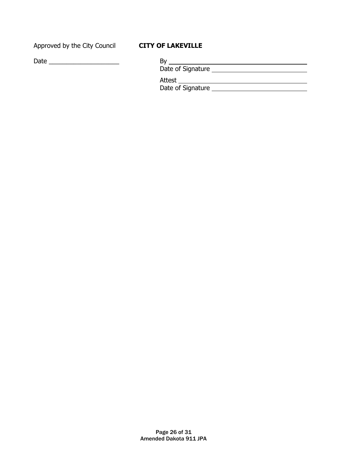Approved by the City Council **CITY OF LAKEVILLE**

| Date |  |  |  |
|------|--|--|--|
|      |  |  |  |

| Date of Signature                  |
|------------------------------------|
| <b>Attest</b><br>Date of Signature |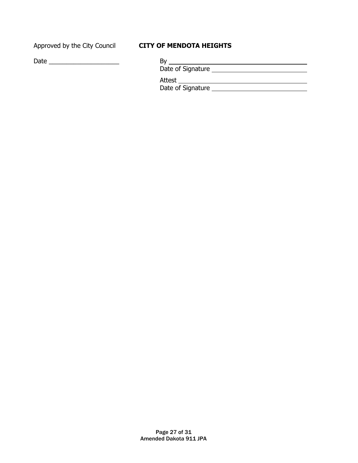### Approved by the City Council **CITY OF MENDOTA HEIGHTS**

| By                |  |
|-------------------|--|
| Date of Signature |  |
| Attest            |  |
| Date of Signature |  |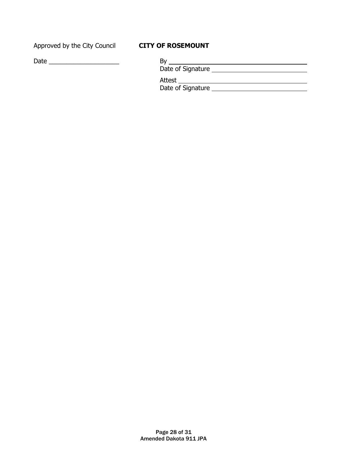Approved by the City Council **CITY OF ROSEMOUNT**

Date  $\underline{\qquad \qquad }$  By

| Bν                |
|-------------------|
| Date of Signature |
| Attest            |
| Date of Signature |
|                   |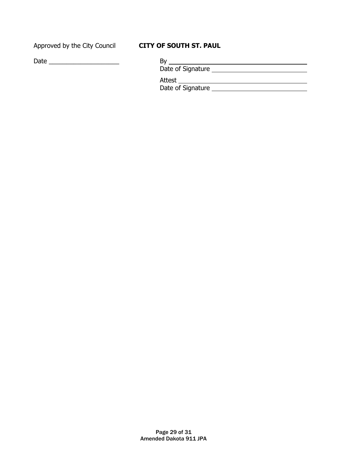### Approved by the City Council **CITY OF SOUTH ST. PAUL**

| Date of Signature |
|-------------------|
| Attest            |
| Date of Signature |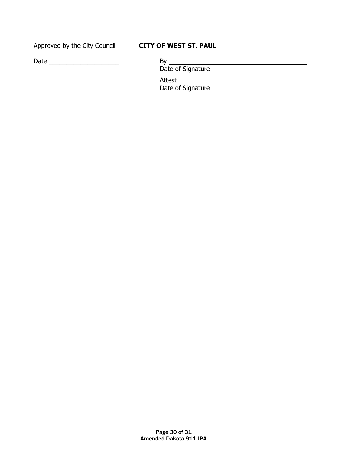### Approved by the City Council **CITY OF WEST ST. PAUL**

| Da<br>эго<br>- - | - |
|------------------|---|
|------------------|---|

| By                |  |
|-------------------|--|
| Date of Signature |  |
| Attest            |  |
| Date of Signature |  |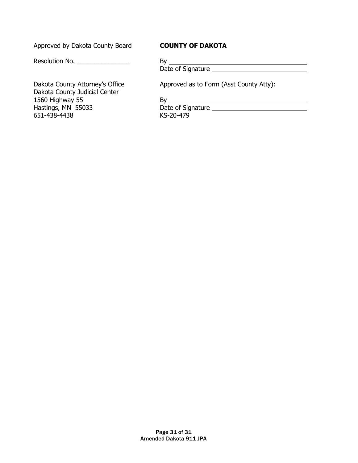Approved by Dakota County Board **COUNTY OF DAKOTA**

Resolution No. \_\_\_\_\_\_\_\_\_\_\_\_\_\_\_

Dakota County Judicial Center 1560 Highway 55<br>
Hastings, MN 55033<br>
Hastings, MN 55033<br>
By <u>Date of Signature</u> Hastings, MN 55033 Date of Signature 2014<br>651-438-4438 KS-20-479 651-438-4438

Date of Signature

Dakota County Attorney's Office Approved as to Form (Asst County Atty):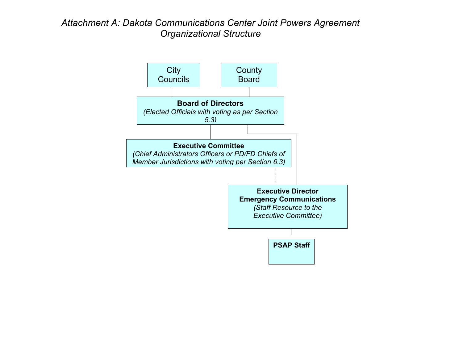## *Attachment A: Dakota Communications Center Joint Powers Agreement Organizational Structure*

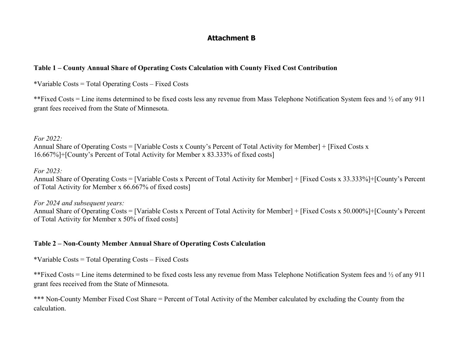#### **Attachment B**

#### **Table 1 – County Annual Share of Operating Costs Calculation with County Fixed Cost Contribution**

\*Variable Costs = Total Operating Costs – Fixed Costs

\*\*Fixed Costs = Line items determined to be fixed costs less any revenue from Mass Telephone Notification System fees and ½ of any 911 grant fees received from the State of Minnesota.

*For 2022:*

Annual Share of Operating Costs = [Variable Costs x County's Percent of Total Activity for Member] + [Fixed Costs x 16.667%]+[County's Percent of Total Activity for Member x 83.333% of fixed costs]

*For 2023:*

Annual Share of Operating Costs = [Variable Costs x Percent of Total Activity for Member] + [Fixed Costs x 33.333%]+[County's Percent of Total Activity for Member x 66.667% of fixed costs]

*For 2024 and subsequent years:* Annual Share of Operating Costs = [Variable Costs x Percent of Total Activity for Member] + [Fixed Costs x 50.000%]+[County's Percent of Total Activity for Member x 50% of fixed costs]

#### **Table 2 – Non-County Member Annual Share of Operating Costs Calculation**

\*Variable Costs = Total Operating Costs – Fixed Costs

\*\*Fixed Costs = Line items determined to be fixed costs less any revenue from Mass Telephone Notification System fees and ½ of any 911 grant fees received from the State of Minnesota.

\*\*\* Non-County Member Fixed Cost Share = Percent of Total Activity of the Member calculated by excluding the County from the calculation.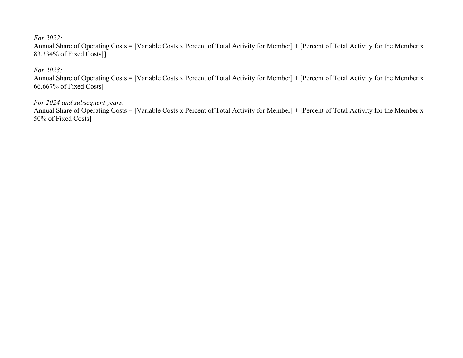#### *For 2022:*

Annual Share of Operating Costs = [Variable Costs x Percent of Total Activity for Member] + [Percent of Total Activity for the Member x 83.334% of Fixed Costs]]

#### *For 2023:*

Annual Share of Operating Costs = [Variable Costs x Percent of Total Activity for Member] + [Percent of Total Activity for the Member x 66.667% of Fixed Costs]

#### *For 2024 and subsequent years:*

Annual Share of Operating Costs = [Variable Costs x Percent of Total Activity for Member] + [Percent of Total Activity for the Member x 50% of Fixed Costs]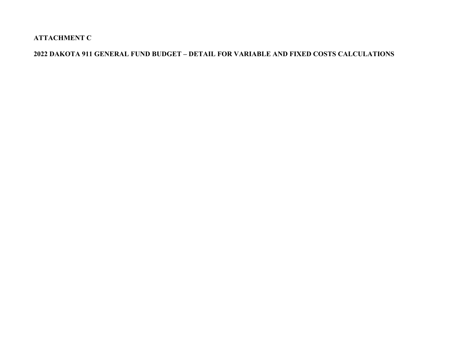**ATTACHMENT C**

### **2022 DAKOTA 911 GENERAL FUND BUDGET – DETAIL FOR VARIABLE AND FIXED COSTS CALCULATIONS**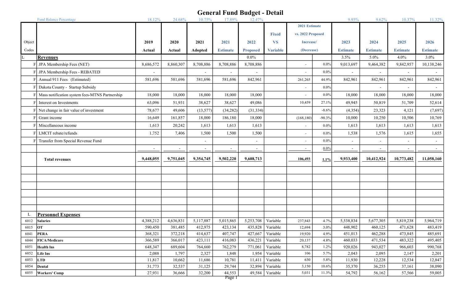|        | <b>Fund Balance Percentage</b>                 | 18.12%                   | 24.68%    | 10.75%    | 17.89%                   | 12.47%                   |                 |                   |               | 9.95%                    | 9.62%                    | 10.37%                   | 11.32%          |
|--------|------------------------------------------------|--------------------------|-----------|-----------|--------------------------|--------------------------|-----------------|-------------------|---------------|--------------------------|--------------------------|--------------------------|-----------------|
|        |                                                |                          |           |           |                          |                          |                 |                   | 2021 Estimate |                          |                          |                          |                 |
|        |                                                |                          |           |           |                          |                          | <b>Fixed</b>    | vs. 2022 Proposed |               |                          |                          |                          |                 |
| Object |                                                | 2019                     | 2020      | 2021      | 2021                     | 2022                     | <b>VS</b>       | Increase/         |               | 2023                     | 2024                     | 2025                     | 2026            |
| Codes  |                                                | Actual                   | Actual    | Adopted   | <b>Estimate</b>          | <b>Proposed</b>          | <b>Variable</b> | (Decrease)        |               | <b>Estimate</b>          | <b>Estimate</b>          | <b>Estimate</b>          | <b>Estimate</b> |
|        | <b>Revenues</b>                                |                          |           |           |                          | $0.0\%$                  |                 |                   |               | 3.5%                     | 5.0%                     | 4.0%                     | 3.0%            |
|        | JPA Membership Fees (NET)                      | 8,686,572                | 8,860,307 | 8,708,886 | 8,708,886                | 8,708,886                |                 | $\sim$            | $0.0\%$       | 9,013,697                | 9,464,382                | 9,842,957                | 10,138,246      |
|        | JPA Membership Fees - REBATED                  | $\overline{\phantom{a}}$ |           |           | $\overline{\phantom{a}}$ |                          |                 | $\sim$            | $0.0\%$       |                          | $\overline{\phantom{a}}$ | $\overline{\phantom{a}}$ |                 |
|        | Annual 911 Fees (Estimated)                    | 581,696                  | 581,696   | 581,696   | 581,696                  | 842,961                  |                 | 261,265           | 44.9%         | 842,961                  | 842,961                  | 842,961                  | 842,961         |
|        | Dakota County - Startup Subsidy                |                          |           |           |                          |                          |                 | $\omega$          | $0.0\%$       |                          |                          |                          |                 |
|        | Mass notification system fees-MTNS Partnership | 18,000                   | 18,000    | 18,000    | 18,000                   | 18,000                   |                 | $\sim$            | $0.0\%$       | 18,000                   | 18,000                   | 18,000                   | 18,000          |
|        | Interest on Investments                        | 63,096                   | 51,931    | 38,627    | 38,627                   | 49,086                   |                 | 10,459            | 27.1%         | 49,945                   | 50,819                   | 51,709                   | 52,614          |
|        | Net change in fair value of investment         | 78,677                   | 49,606    | (13, 577) | (34, 282)                | (31, 334)                |                 |                   | $-8.6%$       | (4,354)                  | 23,323                   | 4,121                    | (7,697)         |
|        | Grant income                                   | 16,649                   | 161,857   | 18,000    | 186,180                  | 18,000                   |                 | (168, 180)        | $-90.3%$      | 10,000                   | 10,250                   | 10,506                   | 10,769          |
|        | Miscellaneous income                           | 1,613                    | 20,242    | 1,613     | 1,613                    | 1,613                    |                 | $\omega$          | $0.0\%$       | 1,613                    | 1,613                    | 1,613                    | 1,613           |
|        | LMCIT rebate/refunds                           | 1,752                    | 7,406     | 1,500     | 1,500                    | 1,500                    |                 | $\sim$            | $0.0\%$       | 1,538                    | 1,576                    | 1,615                    | 1,655           |
|        | Transfer from Special Revenue Fund             |                          |           |           |                          |                          |                 | $\sim$            | $0.0\%$       |                          |                          | $\overline{\phantom{a}}$ | $\sim$          |
|        |                                                | $\overline{\phantom{a}}$ | $\sim$    |           | $\sim$                   | $\overline{\phantom{a}}$ |                 | $\sim$            | $0.0\%$       | $\overline{\phantom{a}}$ | $\overline{\phantom{a}}$ | $\overline{\phantom{a}}$ | $\sim$          |
|        | <b>Total revenues</b>                          | 9,448,055                | 9,751,045 | 9,354,745 | 9,502,220                | 9,608,713                |                 | 106,493           | 1.1%          | 9,933,400                | 10,412,924               | 10,773,482               | 11,058,160      |
|        |                                                |                          |           |           |                          |                          |                 |                   |               |                          |                          |                          |                 |
|        |                                                |                          |           |           |                          |                          |                 |                   |               |                          |                          |                          |                 |
|        |                                                |                          |           |           |                          |                          |                 |                   |               |                          |                          |                          |                 |
|        |                                                |                          |           |           |                          |                          |                 |                   |               |                          |                          |                          |                 |
|        |                                                |                          |           |           |                          |                          |                 |                   |               |                          |                          |                          |                 |
|        |                                                |                          |           |           |                          |                          |                 |                   |               |                          |                          |                          |                 |
|        | <b>Personnel Expenses</b>                      |                          |           |           |                          |                          |                 |                   |               |                          |                          |                          |                 |
| 6012   | <b>Salaries</b>                                | 4,388,212                | 4,636,831 | 5,117,887 | 5,015,865                | 5,253,708                | Variable        | 237,843           | 4.7%          | 5,538,834                | 5,677,305                | 5,819,238                | 5,964,719       |
| 6015   | OT                                             | 590,450                  | 381,485   | 412,975   | 423,134                  | 435,828                  | Variable        | 12,694            | 3.0%          | 448,902                  | 460,125                  | 471,628                  | 483,419         |
| 6041   | <b>PERA</b>                                    | 368,321                  | 372,218   | 414,637   | 407,747                  | 427,667                  | Variable        | 19,920            | 4.9%          | 451,013                  | 462,288                  | 473,845                  | 485,691         |
| 6044   | <b>FICA/Medicare</b>                           | 366,589                  | 366,017   | 423,111   | 416,083                  | 436,221                  | Variable        | 20,137            | 4.8%          | 460,033                  | 471,534                  | 483,322                  | 495,405         |
| 6051   | <b>Health Ins</b>                              | 648,347                  | 689,604   | 764,660   | 762,279                  | 771,061                  | Variable        | 8,782             | 1.2%          | 920,026                  | 943,027                  | 966,603                  | 990,768         |
| 6052   | Life Ins                                       | 2,088                    | 1,797     | 2,327     | 1,848                    | 1,954                    | Variable        | 106               | 5.7%          | 2,043                    | 2,095                    | 2,147                    | 2,201           |
| 6053   | <b>LTD</b>                                     | 11,817                   | 10,662    | 11,686    | 10,781                   | 11,411                   | Variable        | 630               | 5.8%          | 11,930                   | 12,228                   | 12,534                   | 12,847          |
| 6054   | Dental                                         | 31,773                   | 32,537    | 31,125    | 29,744                   | 32,894                   | Variable        | 3,150             | 10.6%         | 35,370                   | 36,255                   | 37,161                   | 38,090          |
| 6055   | <b>Workers' Comp</b>                           | 27,931                   | 36,666    | 32,200    | 44,553                   | 49,584                   | Variable        | 5,031             | 11.3%         | 54,792                   | 56,162                   | 57,566                   | 59,005          |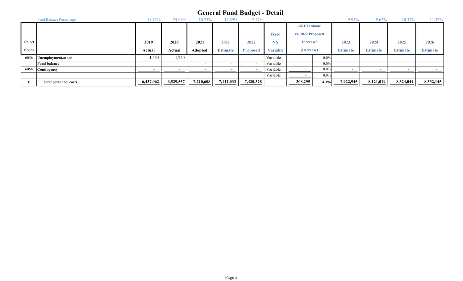|        | <b>Fund Balance Percentage</b> |           | 24.68%    |                          | 7.89%           | ີ<br>12.47%              |                 |                   |            | 9.95%                    | 9.62%           | U.J             | 1.32%           |
|--------|--------------------------------|-----------|-----------|--------------------------|-----------------|--------------------------|-----------------|-------------------|------------|--------------------------|-----------------|-----------------|-----------------|
|        |                                |           |           |                          |                 |                          |                 | 2021 Estimate     |            |                          |                 |                 |                 |
|        |                                |           |           |                          |                 |                          | <b>Fixed</b>    | vs. 2022 Proposed |            |                          |                 |                 |                 |
| Object |                                | 2019      | 2020      | 2021                     | 2021            | 2022                     | <b>VS</b>       | Increase/         |            | 2023                     | 2024            | 2025            | 2026            |
| Codes  |                                | Actual    | Actual    | Adopted                  | <b>Estimate</b> | <b>Proposed</b>          | <b>Variable</b> |                   | (Decrease) |                          | <b>Estimate</b> | <b>Estimate</b> | <b>Estimate</b> |
| 6056   | Unemployment/other             | 1,534     | 1,740     | $\overline{\phantom{0}}$ |                 | -                        | Variable        |                   | $0.0\%$    | $\overline{\phantom{0}}$ |                 |                 |                 |
|        | <b>Fund balance</b>            |           |           | $\overline{\phantom{0}}$ |                 | $\overline{\phantom{a}}$ | Variable        | . .               | $0.0\%$    |                          |                 |                 |                 |
| 6058   | <b>Contingency</b>             |           |           |                          |                 |                          | Variable        |                   | $0.0\%$    |                          |                 |                 |                 |
|        |                                |           |           |                          |                 |                          | Variable        |                   | $0.0\%$    |                          |                 |                 |                 |
|        | <b>Total personnel costs</b>   | 6,437,062 | 6,529,557 | 7,210,608                | 7,112,033       | 7,420,328                |                 | 308,295           | 4.3%       | 7,922,945                | 8,121,019       | 8,324,044       | 8,532,145       |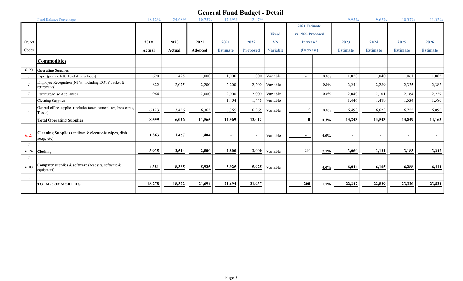|              | <b>Fund Balance Percentage</b>                                               | 18.12%         | 24.68%         | 10.75%                   | 17.89%          | 12.47%                   |                 |                   |               | 9.95%           | 9.62%           | 10.37%                   | 11.32%          |
|--------------|------------------------------------------------------------------------------|----------------|----------------|--------------------------|-----------------|--------------------------|-----------------|-------------------|---------------|-----------------|-----------------|--------------------------|-----------------|
|              |                                                                              |                |                |                          |                 |                          |                 |                   | 2021 Estimate |                 |                 |                          |                 |
|              |                                                                              |                |                |                          |                 |                          | <b>Fixed</b>    | vs. 2022 Proposed |               |                 |                 |                          |                 |
| Object       |                                                                              | 2019           | 2020           | 2021                     | 2021            | 2022                     | <b>VS</b>       | Increase/         |               | 2023            | 2024            | 2025                     | 2026            |
| Codes        |                                                                              | Actual         | Actual         | Adopted                  | <b>Estimate</b> | <b>Proposed</b>          | <b>Variable</b> | (Decrease)        |               | <b>Estimate</b> | <b>Estimate</b> | <b>Estimate</b>          | <b>Estimate</b> |
|              | <b>Commodities</b>                                                           |                |                | $\overline{\phantom{a}}$ |                 |                          |                 |                   |               |                 |                 |                          |                 |
| 6120         | <b>Operating Supplies</b>                                                    |                |                |                          |                 |                          |                 |                   |               |                 |                 |                          |                 |
| J            | Paper (printer, letterhead & envelopes)                                      | 690            | 495            | 1,000                    | 1,000           | 1,000                    | Variable        | $\sim$            | $0.0\%$       | 1,020           | 1,040           | 1,061                    | 1,082           |
| $\bf{J}$     | Employee Recognition (NTW, including DOTY Jacket &<br>retirements)           | 822            | 2,075          | 2,200                    | 2,200           | 2,200                    | Variable        | $\sim$            | $0.0\%$       | 2,244           | 2,289           | 2,335                    | 2,382           |
| J            | Furniture/Misc Appliances                                                    | 964            |                | 2,000                    | 2,000           | 2,000                    | Variable        | $\sim$            | $0.0\%$       | 2,040           | 2,101           | 2,164                    | 2,229           |
|              | <b>Cleaning Supplies</b>                                                     | $\overline{a}$ | $\overline{a}$ | $\overline{\phantom{a}}$ | 1,404           | 1,446                    | Variable        |                   |               | 1,446           | 1,489           | 1,534                    | 1,580           |
| $\bf{J}$     | General office supplies (includes toner, name plates, bsns cards,<br>Tissue) | 6,123          | 3,456          | 6,365                    | 6,365           | 6,365                    | Variable        | $\Omega$          | $0.0\%$       | 6,493           | 6,623           | 6,755                    | 6,890           |
|              | <b>Total Operating Supplies</b>                                              | 8,599          | 6,026          | 11,565                   | 12,969          | 13,012                   |                 | $\mathbf{r}$      | 0.3%          | 13,243          | 13,543          | 13,849                   | 14,163          |
|              |                                                                              |                |                |                          |                 |                          |                 |                   |               |                 |                 |                          |                 |
| 6123         | Cleaning Supplies (antibac & electronic wipes, dish<br>soap, etc)            | 1,363          | 1,467          | 1,404                    | $\sim$          | $\overline{\phantom{a}}$ | Variable        | $\sim$            | $0.0\%$       | $\sim$          | $\sim$          | $\overline{\phantom{a}}$ | $\sim$          |
| J            |                                                                              |                |                |                          |                 |                          |                 |                   |               |                 |                 |                          |                 |
| 6124         | <b>Clothing</b>                                                              | 3,935          | 2,514          | 2,800                    | 2,800           | 3,000                    | Variable        | 200               | 7.1%          | 3,060           | 3,121           | 3,183                    | 3,247           |
| J            |                                                                              |                |                |                          |                 |                          |                 |                   |               |                 |                 |                          |                 |
| 6180         | Computer supplies & software (headsets, software &<br>equipment)             | 4,381          | 8,365          | 5,925                    | 5,925           | 5,925                    | Variable        | $\sim$            | $0.0\%$       | 6,044           | 6,165           | 6,288                    | 6,414           |
| $\mathbf{C}$ |                                                                              |                |                |                          |                 |                          |                 |                   |               |                 |                 |                          |                 |
|              | <b>TOTAL COMMODITIES</b>                                                     | 18,278         | 18,372         | 21,694                   | 21,694          | 21,937                   |                 | 200               | 1.1%          | 22,347          | 22,829          | 23,320                   | 23,824          |
|              |                                                                              |                |                |                          |                 |                          |                 |                   |               |                 |                 |                          |                 |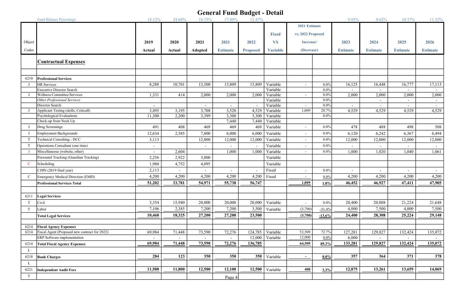|               | <b>Fund Balance Percentage</b>                | 18.12%                   | 24.68%                   | 10.75%                   | 17.89%          | o<br>12.47%              |                 |                   |          | 9.95%                    | 9.62%                    | 10.37%                   | 11.32%          |
|---------------|-----------------------------------------------|--------------------------|--------------------------|--------------------------|-----------------|--------------------------|-----------------|-------------------|----------|--------------------------|--------------------------|--------------------------|-----------------|
|               |                                               |                          |                          |                          |                 |                          |                 | 2021 Estimate     |          |                          |                          |                          |                 |
|               |                                               |                          |                          |                          |                 |                          | <b>Fixed</b>    | vs. 2022 Proposed |          |                          |                          |                          |                 |
|               |                                               |                          |                          |                          |                 |                          |                 |                   |          |                          |                          |                          |                 |
| Object        |                                               | 2019                     | 2020                     | 2021                     | 2021            | 2022                     | <b>VS</b>       | Increase/         |          | 2023                     | 2024                     | 2025                     | 2026            |
| Codes         |                                               | Actual                   | Actual                   | Adopted                  | <b>Estimate</b> | <b>Proposed</b>          | <b>Variable</b> | (Decrease)        |          | <b>Estimate</b>          | <b>Estimate</b>          | <b>Estimate</b>          | <b>Estimate</b> |
|               |                                               |                          |                          |                          |                 |                          |                 |                   |          |                          |                          |                          |                 |
|               | <b>Contractual Expenses</b>                   |                          |                          |                          |                 |                          |                 |                   |          |                          |                          |                          |                 |
|               |                                               |                          |                          |                          |                 |                          |                 |                   |          |                          |                          |                          |                 |
| 6210          | <b>Professional Services</b>                  |                          |                          |                          |                 |                          |                 |                   |          |                          |                          |                          |                 |
| J             | <b>HR</b> Services                            | 8,288                    | 10,701                   | 13,500                   | 15,809          | 15,809                   | Variable        | $\sim$            | $0.0\%$  | 16,125                   | 16,448                   | 16,777                   | 17,113          |
|               | <b>Executive Director Search</b>              |                          |                          |                          |                 |                          | Variable        |                   | $0.0\%$  |                          |                          |                          |                 |
|               | <b>Wellness Committee/Services</b>            | 1,331                    | 414                      | 2,000                    | 2,000           | 2,000                    | Variable        | $\sim$            | $0.0\%$  | 2,000                    | 2,000                    | 2,000                    | 2,000           |
|               | Other Professional Services                   |                          |                          |                          |                 |                          | Variable        |                   | $0.0\%$  |                          |                          | $\sim$                   |                 |
|               | Director Search                               | $\sim$                   |                          | $\sim$                   | $\sim$          | $\overline{\phantom{0}}$ | Variable        | $\sim$            | $0.0\%$  | $\sim$                   | $\sim$                   | $\sim$                   | $\sim$          |
|               | Applicant Testing (skills, Criticall)         | 3,495                    | 3,195                    | 3,708                    | 3,520           | 4,529                    | Variable        | 1,009             | 28.7%    | 4,529                    | 4,529                    | 4,529                    | 4,529           |
|               | Psychological Evaluations                     | 11,300                   | 2,200                    | 3,399                    | 3,300           | 3,300                    | Variable        |                   | $0.0\%$  |                          |                          |                          |                 |
|               | Check-up from Neck Up                         |                          |                          |                          | 7,440           | 7,440                    | Variable        |                   |          |                          |                          |                          |                 |
| J             | Drug Screenings                               | 491                      | 408                      | 469                      | 469             | 469                      | Variable        | $\sim$            | $0.0\%$  | 478                      | 488                      | 498                      | 508             |
| J             | <b>Employment Backgrounds</b>                 | 12,634                   | 2,385                    | 7,800                    | 6,000           | 6,000                    | Variable        | $\sim$            | $0.0\%$  | 6,120                    | 6,242                    | 6,367                    | 6,494           |
| T             | Technical Consulting - DCC                    | 3,113                    |                          | 12,000                   | 12,000          | 12,000                   | Variable        | $\sim$            | $0.0\%$  | 12,000                   | 12,000                   | 12,000                   | 12,000          |
| T             | Operations Consultant (one time)              | $\overline{\phantom{a}}$ |                          | $\overline{\phantom{a}}$ |                 |                          | Variable        | $\sim$            | $0.0\%$  | $\overline{\phantom{a}}$ | $\overline{\phantom{a}}$ | $\sim$                   | $\sim$          |
| J             | Miscellaneous (website, other)                | $\blacksquare$           | 2,604                    |                          | 1,000           | 1,000                    | Variable        | $\sim$            | $0.0\%$  | 1,000                    | 1,020                    | 1,040                    | 1,061           |
|               | Personnel Tracking (Guardian Tracking)        | 2,256                    | 2,922                    | 3,000                    |                 |                          | Variable        |                   |          |                          |                          |                          |                 |
| $\mathbf C$   | Scheduling                                    | 1,980                    | 4,752                    | 4,895                    |                 |                          | Variable        |                   |          |                          |                          |                          |                 |
|               | CJIIN (2019 final year)                       | 2,113                    | $\overline{\phantom{a}}$ |                          |                 |                          | Fixed           | $\sim$            | $0.0\%$  | $\overline{\phantom{a}}$ | $\overline{\phantom{a}}$ | $\overline{\phantom{a}}$ | $\sim$          |
| $\mathcal{C}$ | Emergency Medical Direction (EMD)             | 4,200                    | 4,200                    | 4,200                    | 4,200           | 4,200                    | Fixed           | $\sim$            | $0.0\%$  | 4,200                    | 4,200                    | 4,200                    | 4,200           |
|               | <b>Professional Services Total</b>            | 51,202                   | 33,781                   | 54,971                   | 55,738          | 56,747                   |                 | 1,009             | 1.8%     | 46,452                   | 46,927                   | 47,411                   | 47,905          |
|               |                                               |                          |                          |                          |                 |                          |                 |                   |          |                          |                          |                          |                 |
| 6211          | <b>Legal Services</b>                         |                          |                          |                          |                 |                          |                 |                   |          |                          |                          |                          |                 |
| T             | Civil                                         | 3,354                    | 15,940                   | 20,000                   | 20,000          | 20,000                   | Variable        | $\sim$            | $0.0\%$  | 20,400                   | 20,808                   | 21,224                   | 21,648          |
| T             | Labor                                         | 7,106                    | 2,385                    | 7,200                    | 7,200           | 3,500                    | Variable        | (3,700)           | $-51.4%$ | 4,000                    | 7,500                    | 4,000                    | 7,500           |
|               | <b>Total Legal Services</b>                   | 10,460                   | 18,325                   | 27,200                   | 27,200          | 23,500                   |                 | (3,700)           | $-13.6%$ | 24,400                   | 28,308                   | 25,224                   | 29,148          |
|               |                                               |                          |                          |                          |                 |                          |                 |                   |          |                          |                          |                          |                 |
| 6214          | <b>Fiscal Agency Expenses</b>                 |                          |                          |                          |                 |                          |                 |                   |          |                          |                          |                          |                 |
| 6214          | Fiscal Agent (Proposed new contract for 2022) | 69,984                   | 71,448                   | 73,590                   | 72,276          | 124,785                  | Variable        | 52,509            | 72.7%    | 127,281                  | 129,827                  | 132,424                  | 135,072         |
|               | ERP Software implementation                   |                          |                          |                          |                 | 12,000                   | Variable        | 12,000            | 0.0%     | 6,000                    |                          |                          |                 |
| 6214          | <b>Total Fiscal Agency Expenses</b>           | 69,984                   | 71,448                   | 73,590                   | 72,276          | 136,785                  |                 | 64,509            | 89.3%    | 133,281                  | 129,827                  | 132,424                  | 135,072         |
| L             |                                               |                          |                          |                          |                 |                          |                 |                   |          |                          |                          |                          |                 |
| 6218          | <b>Bank Charges</b>                           | 284                      | 123                      | 350                      | 350             | 350                      | Variable        | $\sim$            | $0.0\%$  | 357                      | 364                      | 371                      | 378             |
| L             |                                               |                          |                          |                          |                 |                          |                 |                   |          |                          |                          |                          |                 |
| 6221          | <b>Independent Audit Fees</b>                 | 11,500                   | 11,800                   | 12,500                   | 12,100          | 12,500                   | Variable        | 400               | 3.3%     | 12,875                   | 13,261                   | 13,659                   | 14,069          |
| T             |                                               |                          |                          |                          | Page 4          |                          |                 |                   |          |                          |                          |                          |                 |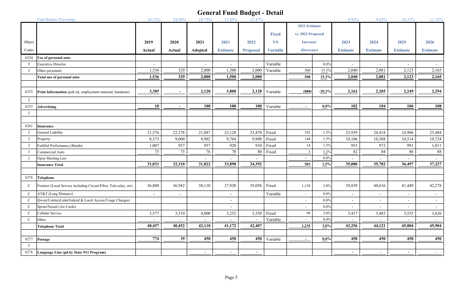|               | <b>Fund Balance Percentage</b>                                    | 18.12%                   | 24.68%                   | 10.75%                   | 17.89%          | 12.47%                   |                 |                             |          | 9.95%           | 9.62%                    | 10.37%                   | 11.32%          |
|---------------|-------------------------------------------------------------------|--------------------------|--------------------------|--------------------------|-----------------|--------------------------|-----------------|-----------------------------|----------|-----------------|--------------------------|--------------------------|-----------------|
|               |                                                                   |                          |                          |                          |                 |                          |                 | 2021 Estimate               |          |                 |                          |                          |                 |
|               |                                                                   |                          |                          |                          |                 |                          | <b>Fixed</b>    | vs. 2022 Proposed           |          |                 |                          |                          |                 |
| Object        |                                                                   | 2019                     | 2020                     | 2021                     | 2021            | 2022                     | <b>VS</b>       | Increase/                   |          | 2023            | 2024                     | 2025                     | 2026            |
| Codes         |                                                                   | Actual                   | Actual                   | Adopted                  | <b>Estimate</b> | <b>Proposed</b>          | <b>Variable</b> | (Decrease)                  |          | <b>Estimate</b> | <b>Estimate</b>          | <b>Estimate</b>          | <b>Estimate</b> |
| 6234          | Use of personal auto                                              |                          |                          |                          |                 |                          |                 |                             |          |                 |                          |                          |                 |
| T             | <b>Executive Director</b>                                         |                          |                          |                          | $\sim$          |                          | Variable        | $\sim$                      | $0.0\%$  |                 | $\sim$                   | $\sim$                   |                 |
| J             | Other personnel                                                   | 1,536                    | 329                      | 2,000                    | 1,500           | 2,000                    | Variable        | 500                         | 33.3%    | 2,040           | 2,081                    | 2,123                    | 2,165           |
|               | Total use of personal auto                                        | 1,536                    | 329                      | 2,000                    | 1,500           | 2,000                    |                 | 500                         | 33.3%    | 2,040           | 2,081                    | 2,123                    | 2,165           |
|               |                                                                   |                          |                          |                          |                 |                          |                 |                             |          |                 |                          |                          |                 |
| 6252          | Print Information (pub ed, employment material, handouts)         | 3,385                    | $\sim$                   | 2,120                    | 3,000           | 2,120                    | Variable        | (880)                       | $-29.3%$ | 2,162           | 2,205                    | 2,249                    | 2,294           |
| J             |                                                                   |                          |                          |                          |                 |                          |                 |                             |          |                 |                          |                          |                 |
| 6255          | <b>Advertising</b>                                                | 10                       | $\sim$                   | <b>100</b>               | 100             | 100                      | Variable        | $\sim$                      | $0.0\%$  | 102             | 104                      | 106                      | <u>108</u>      |
| J             |                                                                   |                          |                          |                          |                 |                          |                 |                             |          |                 |                          |                          |                 |
|               |                                                                   |                          |                          |                          |                 |                          |                 |                             |          |                 |                          |                          |                 |
| 6261          | Insurance                                                         |                          |                          |                          |                 |                          |                 |                             |          |                 |                          |                          |                 |
| J             | General Liability                                                 | 21,576                   | 22,278                   | 21,887                   | 23,128          | 23,470                   | Fixed           | 342                         | 1.5%     | 23,939          | 24,418                   | 24,906                   | 25,404          |
| J             | Property                                                          | 8,373                    | 9,000                    | 8,902                    | 9,764           | 9,908                    | Fixed           | 144                         | 1.5%     | 10,106          | 10,308                   | 10,514                   | 10,724          |
| J             | Faithful Performance (Bonds)                                      | 1,007                    | 957                      | 957                      | 920             | 934                      | Fixed           | 14                          | 1.5%     | 953             | 972                      | 991                      | 1,011           |
| J             | Commercial Auto                                                   | 75                       | 75                       | 76                       | 78              | 80                       | Fixed           | $\overline{\mathbf{3}}$     | 3.2%     | 82              | 84                       | 86                       | $88\,$          |
| J             | Open Meeting Law                                                  |                          |                          |                          |                 |                          |                 | $\sim$                      | $0.0\%$  |                 |                          |                          |                 |
|               | <b>Insurance Total</b>                                            | 31,031                   | 32,310                   | 31,822                   | 33,890          | 34,392                   |                 | 503                         | 1.5%     | 35,080          | 35,782                   | 36,497                   | 37,227          |
|               |                                                                   |                          |                          |                          |                 |                          |                 |                             |          |                 |                          |                          |                 |
| 6276          | Telephone                                                         |                          |                          |                          |                 |                          |                 |                             |          |                 |                          |                          |                 |
| $\mathbf C$   | Frontier (Local Service including Circuit/Fiber, Tele-relay, etc) | 36,880                   | 36,942                   | 38,110                   | 37,920          | 39,058                   | Fixed           | 1,138                       | 3.0%     | 39,839          | 40,636                   | 41,449                   | 42,278          |
| $\mathbf C$   | AT&T (Long Distance)                                              | $\overline{\phantom{a}}$ | $\overline{\phantom{a}}$ |                          | $\sim$          |                          | Variable        | $\sim$                      | $0.0\%$  | $\sim$          | $\overline{\phantom{a}}$ | $\overline{\phantom{a}}$ | $\sim$          |
| $\mathbf C$   | Qwest/CenturyLink(Federal & Local Access/Usage Charges)           |                          |                          |                          | $\sim$          |                          |                 | $\sim$                      | 0.0%     | $\sim$          | $\overline{\phantom{a}}$ | $\sim$                   | $\sim$          |
| $\mathcal{C}$ | Sprint/Nextel (Air Cards)                                         |                          |                          |                          | $\sim$          |                          |                 | $\sim$                      | $0.0\%$  | $\sim$          | $\overline{\phantom{a}}$ | $\sim$                   | $\sim$          |
| $\mathbf C$   | Cellular Service                                                  | 3,577                    | 3,510                    | 4,000                    | 3,252           | 3,350                    | Fixed           | 98                          | 3.0%     | 3,417           | 3,485                    | 3,555                    | 3,626           |
| $\mathbf C$   | Other                                                             | $\sim$                   |                          |                          | $\mathbf{r}$    |                          | Variable        | $\mathcal{L}^{\mathcal{L}}$ | $0.0\%$  |                 |                          | $\sim$                   | $\sim$          |
|               | <b>Telephone Total</b>                                            | 40,457                   | 40,452                   | 42,110                   | 41,172          | 42,407                   |                 | 1,235                       | 3.0%     | 43,256          | 44,121                   | 45,004                   | 45,904          |
|               |                                                                   |                          |                          |                          |                 |                          |                 |                             |          |                 |                          |                          |                 |
| 6277          | Postage                                                           | 774                      | 39                       | 450                      | 450             | 450                      | Variable        | $\sim$                      | $0.0\%$  | 450             | 450                      | 450                      | 450             |
| J             |                                                                   |                          |                          |                          |                 |                          |                 |                             |          |                 |                          |                          |                 |
| 6276          | Language Line (pd by State 911 Program)                           |                          |                          | $\overline{\phantom{a}}$ | $\sim$          | $\overline{\phantom{a}}$ |                 |                             |          | $\overline{a}$  | $\overline{\phantom{a}}$ | $\sim$                   | $\sim$          |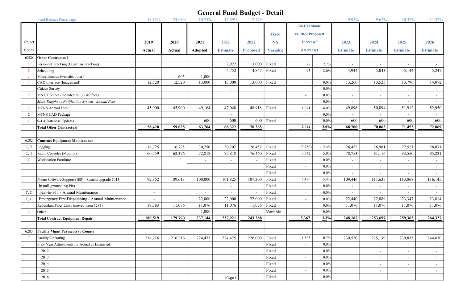| 2021 Estimate<br>vs. 2022 Proposed<br><b>Fixed</b><br>Object<br><b>VS</b><br>2019<br>2020<br>2021<br>2021<br>2022<br>Increase/<br>2023<br>2024<br>2025<br>2026<br>$\rm{Codes}$<br>(Decrease)<br><b>Variable</b><br><b>Estimate</b><br><b>Estimate</b><br>Actual<br>Actual<br>Adopted<br><b>Estimate</b><br><b>Proposed</b><br><b>Estimate</b><br><b>Estimate</b><br>6280<br><b>Other Contractual</b><br>2,922<br>Fixed<br>3,000<br>78<br>2.7%<br>Personnel Tracking (Guardian Tracking)<br>$\mathbf C$<br>$\overline{\phantom{a}}$<br>$\overline{\phantom{a}}$<br>$\overline{\phantom{a}}$<br>$\mathbf C$<br>4,752<br>4,847<br>Fixed<br>95<br>2.0%<br>5,043<br>5,247<br>Scheduling<br>4,944<br>5,144<br>Miscellaneous (website, other)<br>605<br>1,000<br>J<br>$\blacksquare$<br>12,520<br>12,520<br>Fixed<br>13,260<br>13,525<br>13,796<br>14,072<br>T<br>CAD Interface (Imagetrend)<br>13,000<br>13,000<br>13,000<br>$0.0\%$<br>$\sim$<br>$0.0\%$<br>Citizen Survey<br>$\blacksquare$<br>$\sim$<br>$\blacksquare$<br>$\overline{\phantom{a}}$<br>$\overline{\phantom{a}}$<br>$\tilde{\phantom{a}}$<br>MN CJIS Fees (included in LOGIS fees)<br>$\mathbf C$<br>$0.0\%$<br>$\sim$<br>$\sim$<br>$\sim$<br>$\overline{\phantom{a}}$<br>$\overline{\phantom{a}}$<br>Mass Telephone Notification System - Annual Fees<br>$0.0\%$<br>$\sim$<br>$\overline{a}$<br>$\overline{\phantom{a}}$<br>49,164<br>48,918 Fixed<br>50,894<br>$\mathcal{C}$<br><b>MTNS Annual Fees</b><br>45,900<br>45,900<br>47,048<br>1,871<br>4.0%<br>49,896<br>51,912<br>52,950<br>MTNS CAD Package<br>$0.0\%$<br>$\mathbf{C}$<br>$\sim$<br>$\overline{\phantom{a}}$<br>600<br>600<br>600<br>600<br>600<br>600<br>600<br>Fixed<br>9-1-1 Database Updates<br>$0.0\%$<br>$\mathbf C$<br>$\overline{\phantom{a}}$<br>$\sim$<br>58,420<br>68,322<br>59,025<br>63,764<br>70,365<br>2,044<br>3.0%<br>68,700<br>70,062<br>71,452<br>72,869<br><b>Total Other Contractual</b><br>6282<br><b>Contract Equipment Maintenance</b><br>16,725<br>16,725<br>30,250<br>30,202<br>26,452<br>Fixed<br>26,452<br>26,981<br>27,521<br>28,071<br>(3,750)<br>$-12.4%$<br>C, T<br>Logging<br>Radio Consoles (Motorola)<br>60,559<br>62,376<br>72,818<br>72,818<br>76,460<br>Fixed<br>5.0%<br>78,753<br>81,116<br>83,550<br>85,221<br>C, T<br>3,642<br>Fixed<br><b>Workstation Furniture</b><br>$0.0\%$<br>$\mathcal{C}$<br>$\sim$<br>$\overline{\phantom{a}}$<br>$\sim$<br>$\sim$<br>$\overline{\phantom{a}}$<br>$\overline{\phantom{a}}$<br>Fixed<br>$0.0\%$<br>$\sim$<br>$\sim$<br>$\sim$<br>$\overline{\phantom{a}}$<br>$\overline{\phantom{a}}$<br>Fixed<br>$0.0\%$<br>$\sim$<br>Fixed<br>Phone Software Support (IES) - System upgrade 2015<br>92,852<br>89,613<br>100,000<br>101,825<br>107,300<br>5,475<br>5.4%<br>109,446<br>111,635<br>113,868<br>116,145<br>T<br>Fixed<br>Install grounding kits<br>$0.0\%$<br>$\overline{\phantom{a}}$<br>$\sim$<br>$\overline{\phantom{a}}$<br>$\overline{\phantom{a}}$<br>$\blacksquare$<br>Text-to-911 - Annual Maintenance<br>T, C<br>Fixed<br>$0.0\%$<br>$\sim$<br>$\overline{a}$<br>$\overline{\phantom{a}}$<br>22,000<br>Fixed<br>22,889<br>23,347<br>23,814<br>T, C<br>Emergency Fire Dispatching - Annual Maintenance<br>22,000<br>22,000<br>22,440<br>$0.0\%$<br>$\sim$<br>Fixed<br>Redundant Fiber Links (moved from 6283)<br>19,383<br>11,076<br>$0.0\%$<br>11,076<br>11,076<br>11,076<br>11,076<br>11,076<br>11,076<br>11,076<br>$\sim$<br>1,000<br>Variable<br>$0.0\%$<br>$\mathbf C$<br>Other<br>$\sim$<br>189,519<br>179,790<br>237,144<br>237,921<br>5,367<br>248,167<br>253,697<br>264,327<br>243,288<br>2.3%<br>259,362<br><b>Total Contract Equipment Repair</b><br>6283<br><b>Facility Mgmt Payments to County</b><br>216,216<br>226,000<br>Fixed<br>T<br>216,216<br>224,475<br>224,475<br>1,525<br>0.7%<br>230,520<br>235,130<br>239,833<br>244,630<br>Facility/Operating<br>Fixed<br>Prior Year Adjustments for Actual vs Estimated.<br>$0.0\%$<br>$\sim$<br>$\overline{\phantom{a}}$<br>٠<br>Fixed<br>$0.0\%$<br>2012<br>$\sim$<br>$\overline{\phantom{a}}$<br>$\sim$<br>$\overline{\phantom{a}}$<br>Fixed<br>2013<br>$0.0\%$<br>$\sim$<br>$\sim$<br>$\overline{\phantom{a}}$<br>$\overline{\phantom{a}}$<br>Fixed<br>2014<br>$0.0\%$<br>$\overline{\phantom{a}}$<br>$\sim$<br>$\overline{\phantom{a}}$<br>$\overline{\phantom{a}}$<br>Fixed<br>$0.0\%$<br>2015<br>$\sim$<br>$\sim$<br>$\overline{\phantom{a}}$ | Fund Balance Percentage | 18.12% | 24.68% | 10.75% | 17.89% | 12.47% |       |        |         | 9.95% | 9.62% | 10.37% | 11.32% |
|--------------------------------------------------------------------------------------------------------------------------------------------------------------------------------------------------------------------------------------------------------------------------------------------------------------------------------------------------------------------------------------------------------------------------------------------------------------------------------------------------------------------------------------------------------------------------------------------------------------------------------------------------------------------------------------------------------------------------------------------------------------------------------------------------------------------------------------------------------------------------------------------------------------------------------------------------------------------------------------------------------------------------------------------------------------------------------------------------------------------------------------------------------------------------------------------------------------------------------------------------------------------------------------------------------------------------------------------------------------------------------------------------------------------------------------------------------------------------------------------------------------------------------------------------------------------------------------------------------------------------------------------------------------------------------------------------------------------------------------------------------------------------------------------------------------------------------------------------------------------------------------------------------------------------------------------------------------------------------------------------------------------------------------------------------------------------------------------------------------------------------------------------------------------------------------------------------------------------------------------------------------------------------------------------------------------------------------------------------------------------------------------------------------------------------------------------------------------------------------------------------------------------------------------------------------------------------------------------------------------------------------------------------------------------------------------------------------------------------------------------------------------------------------------------------------------------------------------------------------------------------------------------------------------------------------------------------------------------------------------------------------------------------------------------------------------------------------------------------------------------------------------------------------------------------------------------------------------------------------------------------------------------------------------------------------------------------------------------------------------------------------------------------------------------------------------------------------------------------------------------------------------------------------------------------------------------------------------------------------------------------------------------------------------------------------------------------------------------------------------------------------------------------------------------------------------------------------------------------------------------------------------------------------------------------------------------------------------------------------------------------------------------------------------------------------------------------------------------------------------------------------------------------------------------------------------------------------------------------------------------------------------------------------------------------------------------------------------------------------------------------------------------------------------------------|-------------------------|--------|--------|--------|--------|--------|-------|--------|---------|-------|-------|--------|--------|
|                                                                                                                                                                                                                                                                                                                                                                                                                                                                                                                                                                                                                                                                                                                                                                                                                                                                                                                                                                                                                                                                                                                                                                                                                                                                                                                                                                                                                                                                                                                                                                                                                                                                                                                                                                                                                                                                                                                                                                                                                                                                                                                                                                                                                                                                                                                                                                                                                                                                                                                                                                                                                                                                                                                                                                                                                                                                                                                                                                                                                                                                                                                                                                                                                                                                                                                                                                                                                                                                                                                                                                                                                                                                                                                                                                                                                                                                                                                                                                                                                                                                                                                                                                                                                                                                                                                                                                                                                                |                         |        |        |        |        |        |       |        |         |       |       |        |        |
|                                                                                                                                                                                                                                                                                                                                                                                                                                                                                                                                                                                                                                                                                                                                                                                                                                                                                                                                                                                                                                                                                                                                                                                                                                                                                                                                                                                                                                                                                                                                                                                                                                                                                                                                                                                                                                                                                                                                                                                                                                                                                                                                                                                                                                                                                                                                                                                                                                                                                                                                                                                                                                                                                                                                                                                                                                                                                                                                                                                                                                                                                                                                                                                                                                                                                                                                                                                                                                                                                                                                                                                                                                                                                                                                                                                                                                                                                                                                                                                                                                                                                                                                                                                                                                                                                                                                                                                                                                |                         |        |        |        |        |        |       |        |         |       |       |        |        |
|                                                                                                                                                                                                                                                                                                                                                                                                                                                                                                                                                                                                                                                                                                                                                                                                                                                                                                                                                                                                                                                                                                                                                                                                                                                                                                                                                                                                                                                                                                                                                                                                                                                                                                                                                                                                                                                                                                                                                                                                                                                                                                                                                                                                                                                                                                                                                                                                                                                                                                                                                                                                                                                                                                                                                                                                                                                                                                                                                                                                                                                                                                                                                                                                                                                                                                                                                                                                                                                                                                                                                                                                                                                                                                                                                                                                                                                                                                                                                                                                                                                                                                                                                                                                                                                                                                                                                                                                                                |                         |        |        |        |        |        |       |        |         |       |       |        |        |
|                                                                                                                                                                                                                                                                                                                                                                                                                                                                                                                                                                                                                                                                                                                                                                                                                                                                                                                                                                                                                                                                                                                                                                                                                                                                                                                                                                                                                                                                                                                                                                                                                                                                                                                                                                                                                                                                                                                                                                                                                                                                                                                                                                                                                                                                                                                                                                                                                                                                                                                                                                                                                                                                                                                                                                                                                                                                                                                                                                                                                                                                                                                                                                                                                                                                                                                                                                                                                                                                                                                                                                                                                                                                                                                                                                                                                                                                                                                                                                                                                                                                                                                                                                                                                                                                                                                                                                                                                                |                         |        |        |        |        |        |       |        |         |       |       |        |        |
|                                                                                                                                                                                                                                                                                                                                                                                                                                                                                                                                                                                                                                                                                                                                                                                                                                                                                                                                                                                                                                                                                                                                                                                                                                                                                                                                                                                                                                                                                                                                                                                                                                                                                                                                                                                                                                                                                                                                                                                                                                                                                                                                                                                                                                                                                                                                                                                                                                                                                                                                                                                                                                                                                                                                                                                                                                                                                                                                                                                                                                                                                                                                                                                                                                                                                                                                                                                                                                                                                                                                                                                                                                                                                                                                                                                                                                                                                                                                                                                                                                                                                                                                                                                                                                                                                                                                                                                                                                |                         |        |        |        |        |        |       |        |         |       |       |        |        |
|                                                                                                                                                                                                                                                                                                                                                                                                                                                                                                                                                                                                                                                                                                                                                                                                                                                                                                                                                                                                                                                                                                                                                                                                                                                                                                                                                                                                                                                                                                                                                                                                                                                                                                                                                                                                                                                                                                                                                                                                                                                                                                                                                                                                                                                                                                                                                                                                                                                                                                                                                                                                                                                                                                                                                                                                                                                                                                                                                                                                                                                                                                                                                                                                                                                                                                                                                                                                                                                                                                                                                                                                                                                                                                                                                                                                                                                                                                                                                                                                                                                                                                                                                                                                                                                                                                                                                                                                                                |                         |        |        |        |        |        |       |        |         |       |       |        |        |
|                                                                                                                                                                                                                                                                                                                                                                                                                                                                                                                                                                                                                                                                                                                                                                                                                                                                                                                                                                                                                                                                                                                                                                                                                                                                                                                                                                                                                                                                                                                                                                                                                                                                                                                                                                                                                                                                                                                                                                                                                                                                                                                                                                                                                                                                                                                                                                                                                                                                                                                                                                                                                                                                                                                                                                                                                                                                                                                                                                                                                                                                                                                                                                                                                                                                                                                                                                                                                                                                                                                                                                                                                                                                                                                                                                                                                                                                                                                                                                                                                                                                                                                                                                                                                                                                                                                                                                                                                                |                         |        |        |        |        |        |       |        |         |       |       |        |        |
|                                                                                                                                                                                                                                                                                                                                                                                                                                                                                                                                                                                                                                                                                                                                                                                                                                                                                                                                                                                                                                                                                                                                                                                                                                                                                                                                                                                                                                                                                                                                                                                                                                                                                                                                                                                                                                                                                                                                                                                                                                                                                                                                                                                                                                                                                                                                                                                                                                                                                                                                                                                                                                                                                                                                                                                                                                                                                                                                                                                                                                                                                                                                                                                                                                                                                                                                                                                                                                                                                                                                                                                                                                                                                                                                                                                                                                                                                                                                                                                                                                                                                                                                                                                                                                                                                                                                                                                                                                |                         |        |        |        |        |        |       |        |         |       |       |        |        |
|                                                                                                                                                                                                                                                                                                                                                                                                                                                                                                                                                                                                                                                                                                                                                                                                                                                                                                                                                                                                                                                                                                                                                                                                                                                                                                                                                                                                                                                                                                                                                                                                                                                                                                                                                                                                                                                                                                                                                                                                                                                                                                                                                                                                                                                                                                                                                                                                                                                                                                                                                                                                                                                                                                                                                                                                                                                                                                                                                                                                                                                                                                                                                                                                                                                                                                                                                                                                                                                                                                                                                                                                                                                                                                                                                                                                                                                                                                                                                                                                                                                                                                                                                                                                                                                                                                                                                                                                                                |                         |        |        |        |        |        |       |        |         |       |       |        |        |
|                                                                                                                                                                                                                                                                                                                                                                                                                                                                                                                                                                                                                                                                                                                                                                                                                                                                                                                                                                                                                                                                                                                                                                                                                                                                                                                                                                                                                                                                                                                                                                                                                                                                                                                                                                                                                                                                                                                                                                                                                                                                                                                                                                                                                                                                                                                                                                                                                                                                                                                                                                                                                                                                                                                                                                                                                                                                                                                                                                                                                                                                                                                                                                                                                                                                                                                                                                                                                                                                                                                                                                                                                                                                                                                                                                                                                                                                                                                                                                                                                                                                                                                                                                                                                                                                                                                                                                                                                                |                         |        |        |        |        |        |       |        |         |       |       |        |        |
|                                                                                                                                                                                                                                                                                                                                                                                                                                                                                                                                                                                                                                                                                                                                                                                                                                                                                                                                                                                                                                                                                                                                                                                                                                                                                                                                                                                                                                                                                                                                                                                                                                                                                                                                                                                                                                                                                                                                                                                                                                                                                                                                                                                                                                                                                                                                                                                                                                                                                                                                                                                                                                                                                                                                                                                                                                                                                                                                                                                                                                                                                                                                                                                                                                                                                                                                                                                                                                                                                                                                                                                                                                                                                                                                                                                                                                                                                                                                                                                                                                                                                                                                                                                                                                                                                                                                                                                                                                |                         |        |        |        |        |        |       |        |         |       |       |        |        |
|                                                                                                                                                                                                                                                                                                                                                                                                                                                                                                                                                                                                                                                                                                                                                                                                                                                                                                                                                                                                                                                                                                                                                                                                                                                                                                                                                                                                                                                                                                                                                                                                                                                                                                                                                                                                                                                                                                                                                                                                                                                                                                                                                                                                                                                                                                                                                                                                                                                                                                                                                                                                                                                                                                                                                                                                                                                                                                                                                                                                                                                                                                                                                                                                                                                                                                                                                                                                                                                                                                                                                                                                                                                                                                                                                                                                                                                                                                                                                                                                                                                                                                                                                                                                                                                                                                                                                                                                                                |                         |        |        |        |        |        |       |        |         |       |       |        |        |
|                                                                                                                                                                                                                                                                                                                                                                                                                                                                                                                                                                                                                                                                                                                                                                                                                                                                                                                                                                                                                                                                                                                                                                                                                                                                                                                                                                                                                                                                                                                                                                                                                                                                                                                                                                                                                                                                                                                                                                                                                                                                                                                                                                                                                                                                                                                                                                                                                                                                                                                                                                                                                                                                                                                                                                                                                                                                                                                                                                                                                                                                                                                                                                                                                                                                                                                                                                                                                                                                                                                                                                                                                                                                                                                                                                                                                                                                                                                                                                                                                                                                                                                                                                                                                                                                                                                                                                                                                                |                         |        |        |        |        |        |       |        |         |       |       |        |        |
|                                                                                                                                                                                                                                                                                                                                                                                                                                                                                                                                                                                                                                                                                                                                                                                                                                                                                                                                                                                                                                                                                                                                                                                                                                                                                                                                                                                                                                                                                                                                                                                                                                                                                                                                                                                                                                                                                                                                                                                                                                                                                                                                                                                                                                                                                                                                                                                                                                                                                                                                                                                                                                                                                                                                                                                                                                                                                                                                                                                                                                                                                                                                                                                                                                                                                                                                                                                                                                                                                                                                                                                                                                                                                                                                                                                                                                                                                                                                                                                                                                                                                                                                                                                                                                                                                                                                                                                                                                |                         |        |        |        |        |        |       |        |         |       |       |        |        |
|                                                                                                                                                                                                                                                                                                                                                                                                                                                                                                                                                                                                                                                                                                                                                                                                                                                                                                                                                                                                                                                                                                                                                                                                                                                                                                                                                                                                                                                                                                                                                                                                                                                                                                                                                                                                                                                                                                                                                                                                                                                                                                                                                                                                                                                                                                                                                                                                                                                                                                                                                                                                                                                                                                                                                                                                                                                                                                                                                                                                                                                                                                                                                                                                                                                                                                                                                                                                                                                                                                                                                                                                                                                                                                                                                                                                                                                                                                                                                                                                                                                                                                                                                                                                                                                                                                                                                                                                                                |                         |        |        |        |        |        |       |        |         |       |       |        |        |
|                                                                                                                                                                                                                                                                                                                                                                                                                                                                                                                                                                                                                                                                                                                                                                                                                                                                                                                                                                                                                                                                                                                                                                                                                                                                                                                                                                                                                                                                                                                                                                                                                                                                                                                                                                                                                                                                                                                                                                                                                                                                                                                                                                                                                                                                                                                                                                                                                                                                                                                                                                                                                                                                                                                                                                                                                                                                                                                                                                                                                                                                                                                                                                                                                                                                                                                                                                                                                                                                                                                                                                                                                                                                                                                                                                                                                                                                                                                                                                                                                                                                                                                                                                                                                                                                                                                                                                                                                                |                         |        |        |        |        |        |       |        |         |       |       |        |        |
|                                                                                                                                                                                                                                                                                                                                                                                                                                                                                                                                                                                                                                                                                                                                                                                                                                                                                                                                                                                                                                                                                                                                                                                                                                                                                                                                                                                                                                                                                                                                                                                                                                                                                                                                                                                                                                                                                                                                                                                                                                                                                                                                                                                                                                                                                                                                                                                                                                                                                                                                                                                                                                                                                                                                                                                                                                                                                                                                                                                                                                                                                                                                                                                                                                                                                                                                                                                                                                                                                                                                                                                                                                                                                                                                                                                                                                                                                                                                                                                                                                                                                                                                                                                                                                                                                                                                                                                                                                |                         |        |        |        |        |        |       |        |         |       |       |        |        |
|                                                                                                                                                                                                                                                                                                                                                                                                                                                                                                                                                                                                                                                                                                                                                                                                                                                                                                                                                                                                                                                                                                                                                                                                                                                                                                                                                                                                                                                                                                                                                                                                                                                                                                                                                                                                                                                                                                                                                                                                                                                                                                                                                                                                                                                                                                                                                                                                                                                                                                                                                                                                                                                                                                                                                                                                                                                                                                                                                                                                                                                                                                                                                                                                                                                                                                                                                                                                                                                                                                                                                                                                                                                                                                                                                                                                                                                                                                                                                                                                                                                                                                                                                                                                                                                                                                                                                                                                                                |                         |        |        |        |        |        |       |        |         |       |       |        |        |
|                                                                                                                                                                                                                                                                                                                                                                                                                                                                                                                                                                                                                                                                                                                                                                                                                                                                                                                                                                                                                                                                                                                                                                                                                                                                                                                                                                                                                                                                                                                                                                                                                                                                                                                                                                                                                                                                                                                                                                                                                                                                                                                                                                                                                                                                                                                                                                                                                                                                                                                                                                                                                                                                                                                                                                                                                                                                                                                                                                                                                                                                                                                                                                                                                                                                                                                                                                                                                                                                                                                                                                                                                                                                                                                                                                                                                                                                                                                                                                                                                                                                                                                                                                                                                                                                                                                                                                                                                                |                         |        |        |        |        |        |       |        |         |       |       |        |        |
|                                                                                                                                                                                                                                                                                                                                                                                                                                                                                                                                                                                                                                                                                                                                                                                                                                                                                                                                                                                                                                                                                                                                                                                                                                                                                                                                                                                                                                                                                                                                                                                                                                                                                                                                                                                                                                                                                                                                                                                                                                                                                                                                                                                                                                                                                                                                                                                                                                                                                                                                                                                                                                                                                                                                                                                                                                                                                                                                                                                                                                                                                                                                                                                                                                                                                                                                                                                                                                                                                                                                                                                                                                                                                                                                                                                                                                                                                                                                                                                                                                                                                                                                                                                                                                                                                                                                                                                                                                |                         |        |        |        |        |        |       |        |         |       |       |        |        |
|                                                                                                                                                                                                                                                                                                                                                                                                                                                                                                                                                                                                                                                                                                                                                                                                                                                                                                                                                                                                                                                                                                                                                                                                                                                                                                                                                                                                                                                                                                                                                                                                                                                                                                                                                                                                                                                                                                                                                                                                                                                                                                                                                                                                                                                                                                                                                                                                                                                                                                                                                                                                                                                                                                                                                                                                                                                                                                                                                                                                                                                                                                                                                                                                                                                                                                                                                                                                                                                                                                                                                                                                                                                                                                                                                                                                                                                                                                                                                                                                                                                                                                                                                                                                                                                                                                                                                                                                                                |                         |        |        |        |        |        |       |        |         |       |       |        |        |
|                                                                                                                                                                                                                                                                                                                                                                                                                                                                                                                                                                                                                                                                                                                                                                                                                                                                                                                                                                                                                                                                                                                                                                                                                                                                                                                                                                                                                                                                                                                                                                                                                                                                                                                                                                                                                                                                                                                                                                                                                                                                                                                                                                                                                                                                                                                                                                                                                                                                                                                                                                                                                                                                                                                                                                                                                                                                                                                                                                                                                                                                                                                                                                                                                                                                                                                                                                                                                                                                                                                                                                                                                                                                                                                                                                                                                                                                                                                                                                                                                                                                                                                                                                                                                                                                                                                                                                                                                                |                         |        |        |        |        |        |       |        |         |       |       |        |        |
|                                                                                                                                                                                                                                                                                                                                                                                                                                                                                                                                                                                                                                                                                                                                                                                                                                                                                                                                                                                                                                                                                                                                                                                                                                                                                                                                                                                                                                                                                                                                                                                                                                                                                                                                                                                                                                                                                                                                                                                                                                                                                                                                                                                                                                                                                                                                                                                                                                                                                                                                                                                                                                                                                                                                                                                                                                                                                                                                                                                                                                                                                                                                                                                                                                                                                                                                                                                                                                                                                                                                                                                                                                                                                                                                                                                                                                                                                                                                                                                                                                                                                                                                                                                                                                                                                                                                                                                                                                |                         |        |        |        |        |        |       |        |         |       |       |        |        |
|                                                                                                                                                                                                                                                                                                                                                                                                                                                                                                                                                                                                                                                                                                                                                                                                                                                                                                                                                                                                                                                                                                                                                                                                                                                                                                                                                                                                                                                                                                                                                                                                                                                                                                                                                                                                                                                                                                                                                                                                                                                                                                                                                                                                                                                                                                                                                                                                                                                                                                                                                                                                                                                                                                                                                                                                                                                                                                                                                                                                                                                                                                                                                                                                                                                                                                                                                                                                                                                                                                                                                                                                                                                                                                                                                                                                                                                                                                                                                                                                                                                                                                                                                                                                                                                                                                                                                                                                                                |                         |        |        |        |        |        |       |        |         |       |       |        |        |
|                                                                                                                                                                                                                                                                                                                                                                                                                                                                                                                                                                                                                                                                                                                                                                                                                                                                                                                                                                                                                                                                                                                                                                                                                                                                                                                                                                                                                                                                                                                                                                                                                                                                                                                                                                                                                                                                                                                                                                                                                                                                                                                                                                                                                                                                                                                                                                                                                                                                                                                                                                                                                                                                                                                                                                                                                                                                                                                                                                                                                                                                                                                                                                                                                                                                                                                                                                                                                                                                                                                                                                                                                                                                                                                                                                                                                                                                                                                                                                                                                                                                                                                                                                                                                                                                                                                                                                                                                                |                         |        |        |        |        |        |       |        |         |       |       |        |        |
|                                                                                                                                                                                                                                                                                                                                                                                                                                                                                                                                                                                                                                                                                                                                                                                                                                                                                                                                                                                                                                                                                                                                                                                                                                                                                                                                                                                                                                                                                                                                                                                                                                                                                                                                                                                                                                                                                                                                                                                                                                                                                                                                                                                                                                                                                                                                                                                                                                                                                                                                                                                                                                                                                                                                                                                                                                                                                                                                                                                                                                                                                                                                                                                                                                                                                                                                                                                                                                                                                                                                                                                                                                                                                                                                                                                                                                                                                                                                                                                                                                                                                                                                                                                                                                                                                                                                                                                                                                |                         |        |        |        |        |        |       |        |         |       |       |        |        |
|                                                                                                                                                                                                                                                                                                                                                                                                                                                                                                                                                                                                                                                                                                                                                                                                                                                                                                                                                                                                                                                                                                                                                                                                                                                                                                                                                                                                                                                                                                                                                                                                                                                                                                                                                                                                                                                                                                                                                                                                                                                                                                                                                                                                                                                                                                                                                                                                                                                                                                                                                                                                                                                                                                                                                                                                                                                                                                                                                                                                                                                                                                                                                                                                                                                                                                                                                                                                                                                                                                                                                                                                                                                                                                                                                                                                                                                                                                                                                                                                                                                                                                                                                                                                                                                                                                                                                                                                                                |                         |        |        |        |        |        |       |        |         |       |       |        |        |
|                                                                                                                                                                                                                                                                                                                                                                                                                                                                                                                                                                                                                                                                                                                                                                                                                                                                                                                                                                                                                                                                                                                                                                                                                                                                                                                                                                                                                                                                                                                                                                                                                                                                                                                                                                                                                                                                                                                                                                                                                                                                                                                                                                                                                                                                                                                                                                                                                                                                                                                                                                                                                                                                                                                                                                                                                                                                                                                                                                                                                                                                                                                                                                                                                                                                                                                                                                                                                                                                                                                                                                                                                                                                                                                                                                                                                                                                                                                                                                                                                                                                                                                                                                                                                                                                                                                                                                                                                                |                         |        |        |        |        |        |       |        |         |       |       |        |        |
|                                                                                                                                                                                                                                                                                                                                                                                                                                                                                                                                                                                                                                                                                                                                                                                                                                                                                                                                                                                                                                                                                                                                                                                                                                                                                                                                                                                                                                                                                                                                                                                                                                                                                                                                                                                                                                                                                                                                                                                                                                                                                                                                                                                                                                                                                                                                                                                                                                                                                                                                                                                                                                                                                                                                                                                                                                                                                                                                                                                                                                                                                                                                                                                                                                                                                                                                                                                                                                                                                                                                                                                                                                                                                                                                                                                                                                                                                                                                                                                                                                                                                                                                                                                                                                                                                                                                                                                                                                |                         |        |        |        |        |        |       |        |         |       |       |        |        |
|                                                                                                                                                                                                                                                                                                                                                                                                                                                                                                                                                                                                                                                                                                                                                                                                                                                                                                                                                                                                                                                                                                                                                                                                                                                                                                                                                                                                                                                                                                                                                                                                                                                                                                                                                                                                                                                                                                                                                                                                                                                                                                                                                                                                                                                                                                                                                                                                                                                                                                                                                                                                                                                                                                                                                                                                                                                                                                                                                                                                                                                                                                                                                                                                                                                                                                                                                                                                                                                                                                                                                                                                                                                                                                                                                                                                                                                                                                                                                                                                                                                                                                                                                                                                                                                                                                                                                                                                                                |                         |        |        |        |        |        |       |        |         |       |       |        |        |
|                                                                                                                                                                                                                                                                                                                                                                                                                                                                                                                                                                                                                                                                                                                                                                                                                                                                                                                                                                                                                                                                                                                                                                                                                                                                                                                                                                                                                                                                                                                                                                                                                                                                                                                                                                                                                                                                                                                                                                                                                                                                                                                                                                                                                                                                                                                                                                                                                                                                                                                                                                                                                                                                                                                                                                                                                                                                                                                                                                                                                                                                                                                                                                                                                                                                                                                                                                                                                                                                                                                                                                                                                                                                                                                                                                                                                                                                                                                                                                                                                                                                                                                                                                                                                                                                                                                                                                                                                                |                         |        |        |        |        |        |       |        |         |       |       |        |        |
|                                                                                                                                                                                                                                                                                                                                                                                                                                                                                                                                                                                                                                                                                                                                                                                                                                                                                                                                                                                                                                                                                                                                                                                                                                                                                                                                                                                                                                                                                                                                                                                                                                                                                                                                                                                                                                                                                                                                                                                                                                                                                                                                                                                                                                                                                                                                                                                                                                                                                                                                                                                                                                                                                                                                                                                                                                                                                                                                                                                                                                                                                                                                                                                                                                                                                                                                                                                                                                                                                                                                                                                                                                                                                                                                                                                                                                                                                                                                                                                                                                                                                                                                                                                                                                                                                                                                                                                                                                |                         |        |        |        |        |        |       |        |         |       |       |        |        |
|                                                                                                                                                                                                                                                                                                                                                                                                                                                                                                                                                                                                                                                                                                                                                                                                                                                                                                                                                                                                                                                                                                                                                                                                                                                                                                                                                                                                                                                                                                                                                                                                                                                                                                                                                                                                                                                                                                                                                                                                                                                                                                                                                                                                                                                                                                                                                                                                                                                                                                                                                                                                                                                                                                                                                                                                                                                                                                                                                                                                                                                                                                                                                                                                                                                                                                                                                                                                                                                                                                                                                                                                                                                                                                                                                                                                                                                                                                                                                                                                                                                                                                                                                                                                                                                                                                                                                                                                                                |                         |        |        |        |        |        |       |        |         |       |       |        |        |
|                                                                                                                                                                                                                                                                                                                                                                                                                                                                                                                                                                                                                                                                                                                                                                                                                                                                                                                                                                                                                                                                                                                                                                                                                                                                                                                                                                                                                                                                                                                                                                                                                                                                                                                                                                                                                                                                                                                                                                                                                                                                                                                                                                                                                                                                                                                                                                                                                                                                                                                                                                                                                                                                                                                                                                                                                                                                                                                                                                                                                                                                                                                                                                                                                                                                                                                                                                                                                                                                                                                                                                                                                                                                                                                                                                                                                                                                                                                                                                                                                                                                                                                                                                                                                                                                                                                                                                                                                                |                         |        |        |        |        |        |       |        |         |       |       |        |        |
|                                                                                                                                                                                                                                                                                                                                                                                                                                                                                                                                                                                                                                                                                                                                                                                                                                                                                                                                                                                                                                                                                                                                                                                                                                                                                                                                                                                                                                                                                                                                                                                                                                                                                                                                                                                                                                                                                                                                                                                                                                                                                                                                                                                                                                                                                                                                                                                                                                                                                                                                                                                                                                                                                                                                                                                                                                                                                                                                                                                                                                                                                                                                                                                                                                                                                                                                                                                                                                                                                                                                                                                                                                                                                                                                                                                                                                                                                                                                                                                                                                                                                                                                                                                                                                                                                                                                                                                                                                |                         |        |        |        |        |        |       |        |         |       |       |        |        |
|                                                                                                                                                                                                                                                                                                                                                                                                                                                                                                                                                                                                                                                                                                                                                                                                                                                                                                                                                                                                                                                                                                                                                                                                                                                                                                                                                                                                                                                                                                                                                                                                                                                                                                                                                                                                                                                                                                                                                                                                                                                                                                                                                                                                                                                                                                                                                                                                                                                                                                                                                                                                                                                                                                                                                                                                                                                                                                                                                                                                                                                                                                                                                                                                                                                                                                                                                                                                                                                                                                                                                                                                                                                                                                                                                                                                                                                                                                                                                                                                                                                                                                                                                                                                                                                                                                                                                                                                                                |                         |        |        |        |        |        |       |        |         |       |       |        |        |
|                                                                                                                                                                                                                                                                                                                                                                                                                                                                                                                                                                                                                                                                                                                                                                                                                                                                                                                                                                                                                                                                                                                                                                                                                                                                                                                                                                                                                                                                                                                                                                                                                                                                                                                                                                                                                                                                                                                                                                                                                                                                                                                                                                                                                                                                                                                                                                                                                                                                                                                                                                                                                                                                                                                                                                                                                                                                                                                                                                                                                                                                                                                                                                                                                                                                                                                                                                                                                                                                                                                                                                                                                                                                                                                                                                                                                                                                                                                                                                                                                                                                                                                                                                                                                                                                                                                                                                                                                                |                         |        |        |        |        |        |       |        |         |       |       |        |        |
|                                                                                                                                                                                                                                                                                                                                                                                                                                                                                                                                                                                                                                                                                                                                                                                                                                                                                                                                                                                                                                                                                                                                                                                                                                                                                                                                                                                                                                                                                                                                                                                                                                                                                                                                                                                                                                                                                                                                                                                                                                                                                                                                                                                                                                                                                                                                                                                                                                                                                                                                                                                                                                                                                                                                                                                                                                                                                                                                                                                                                                                                                                                                                                                                                                                                                                                                                                                                                                                                                                                                                                                                                                                                                                                                                                                                                                                                                                                                                                                                                                                                                                                                                                                                                                                                                                                                                                                                                                |                         |        |        |        |        |        |       |        |         |       |       |        |        |
|                                                                                                                                                                                                                                                                                                                                                                                                                                                                                                                                                                                                                                                                                                                                                                                                                                                                                                                                                                                                                                                                                                                                                                                                                                                                                                                                                                                                                                                                                                                                                                                                                                                                                                                                                                                                                                                                                                                                                                                                                                                                                                                                                                                                                                                                                                                                                                                                                                                                                                                                                                                                                                                                                                                                                                                                                                                                                                                                                                                                                                                                                                                                                                                                                                                                                                                                                                                                                                                                                                                                                                                                                                                                                                                                                                                                                                                                                                                                                                                                                                                                                                                                                                                                                                                                                                                                                                                                                                |                         |        |        |        |        |        |       |        |         |       |       |        |        |
|                                                                                                                                                                                                                                                                                                                                                                                                                                                                                                                                                                                                                                                                                                                                                                                                                                                                                                                                                                                                                                                                                                                                                                                                                                                                                                                                                                                                                                                                                                                                                                                                                                                                                                                                                                                                                                                                                                                                                                                                                                                                                                                                                                                                                                                                                                                                                                                                                                                                                                                                                                                                                                                                                                                                                                                                                                                                                                                                                                                                                                                                                                                                                                                                                                                                                                                                                                                                                                                                                                                                                                                                                                                                                                                                                                                                                                                                                                                                                                                                                                                                                                                                                                                                                                                                                                                                                                                                                                | 2016                    |        |        |        | Page 6 |        | Fixed | $\sim$ | $0.0\%$ |       |       |        |        |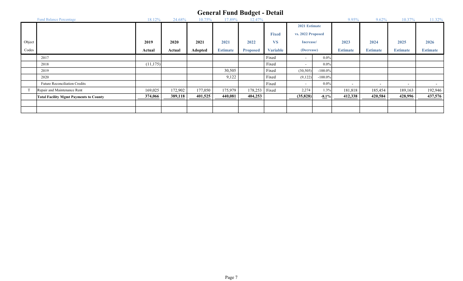|        | <b>Fund Balance Percentage</b>                | 18.12%    | 24.68%  | 10.75%         | 17.89%          | 12.47%          |                 |                          |            | 9.95%                    | 9.62%                    | 10.37%                   | 11.32%                   |
|--------|-----------------------------------------------|-----------|---------|----------------|-----------------|-----------------|-----------------|--------------------------|------------|--------------------------|--------------------------|--------------------------|--------------------------|
|        |                                               |           |         |                |                 |                 |                 | 2021 Estimate            |            |                          |                          |                          |                          |
|        |                                               |           |         |                |                 |                 | <b>Fixed</b>    | vs. 2022 Proposed        |            |                          |                          |                          |                          |
| Object |                                               | 2019      | 2020    | 2021           | 2021            | 2022            | <b>VS</b>       | Increase/                |            | 2023                     | 2024                     | 2025                     | 2026                     |
| Codes  |                                               | Actual    | Actual  | <b>Adopted</b> | <b>Estimate</b> | <b>Proposed</b> | <b>Variable</b> | (Decrease)               |            | <b>Estimate</b>          | <b>Estimate</b>          | <b>Estimate</b>          | <b>Estimate</b>          |
|        | 2017                                          |           |         |                |                 |                 | Fixed           | $\sim$                   | $0.0\%$    |                          |                          |                          |                          |
|        | 2018                                          | (11, 175) |         |                |                 |                 | Fixed           | $\overline{\phantom{a}}$ | $0.0\%$    |                          |                          |                          |                          |
|        | 2019                                          |           |         |                | 30,505          |                 | Fixed           | (30, 505)                | $-100.0\%$ |                          |                          |                          |                          |
|        | 2020                                          |           |         |                | 9,122           |                 | Fixed           | (9,122)                  | $-100.0\%$ |                          |                          |                          |                          |
|        | Future Reconciliation Credits                 |           |         |                |                 |                 | Fixed           | $\overline{\phantom{a}}$ | $0.0\%$    | $\overline{\phantom{0}}$ | $\overline{\phantom{0}}$ | $\overline{\phantom{a}}$ | $\overline{\phantom{0}}$ |
|        | Repair and Maintenance Rent                   | 169,025   | 172,902 | 177,050        | 175,979         | 178,253         | Fixed           | 2,274                    | 1.3%       | 181,818                  | 185,454                  | 189,163                  | 192,946                  |
|        | <b>Total Facility Mgmt Payments to County</b> | 374,066   | 389,118 | 401,525        | 440,081         | 404,253         |                 | (35,828)                 | $-8.1\%$   | 412,338                  | 420,584                  | 428,996                  | 437,576                  |
|        |                                               |           |         |                |                 |                 |                 |                          |            |                          |                          |                          |                          |
|        |                                               |           |         |                |                 |                 |                 |                          |            |                          |                          |                          |                          |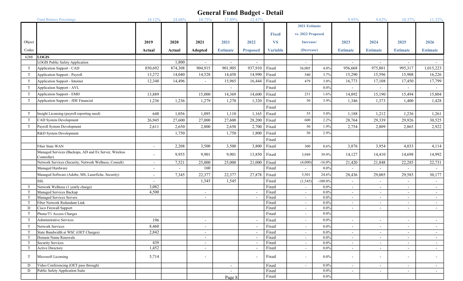|                  | <b>Fund Balance Percentage</b>                                       | 18.12%                   | 24.68%           | 10.75%                   | 17.89%                              | 12.47%                   |                 |                   |                    | 9.95%                    | 9.62%                                                | 10.37%                                     | 11.32%                   |
|------------------|----------------------------------------------------------------------|--------------------------|------------------|--------------------------|-------------------------------------|--------------------------|-----------------|-------------------|--------------------|--------------------------|------------------------------------------------------|--------------------------------------------|--------------------------|
|                  |                                                                      |                          |                  |                          |                                     |                          |                 | 2021 Estimate     |                    |                          |                                                      |                                            |                          |
|                  |                                                                      |                          |                  |                          |                                     |                          | <b>Fixed</b>    | vs. 2022 Proposed |                    |                          |                                                      |                                            |                          |
| Object           |                                                                      | 2019                     | 2020             | 2021                     | 2021                                | 2022                     | <b>VS</b>       | Increase/         |                    | 2023                     | 2024                                                 | 2025                                       | 2026                     |
|                  |                                                                      |                          |                  |                          |                                     |                          |                 |                   |                    |                          |                                                      |                                            |                          |
| Codes            |                                                                      | Actual                   | Actual           | Adopted                  | <b>Estimate</b>                     | <b>Proposed</b>          | <b>Variable</b> | (Decrease)        |                    | <b>Estimate</b>          | <b>Estimate</b>                                      | <b>Estimate</b>                            | <b>Estimate</b>          |
| 6288             | <b>LOGIS</b>                                                         |                          |                  |                          |                                     |                          |                 |                   |                    |                          |                                                      |                                            |                          |
| T                | <b>LOGIS Public Safety Application</b><br>Application Support - CAD  | 850,692                  | 1,800<br>874,308 | 904,915                  | $\overline{\phantom{a}}$<br>901,905 | 937,910                  | Fixed           | $\sim$<br>36,005  | 4.0%               | 956,668                  | $\overline{\phantom{a}}$<br>975,801                  | 995,317                                    | 1,015,223                |
| T                |                                                                      |                          |                  |                          |                                     | 14,990                   | Fixed           | 540               | 3.7%               |                          |                                                      |                                            | 16,226                   |
|                  | Application Support - Payroll                                        | 13,272                   | 14,040           | 14,528                   | 14,450                              |                          |                 |                   |                    | 15,290                   | 15,596                                               | 15,908                                     |                          |
| T                | Application Support - Internet                                       | 12,348                   | 14,496           |                          | 15,965                              | 16,444                   | Fixed           | 479               | 3.0%               | 16,773                   | 17,108                                               | 17,450                                     | 17,799                   |
| $\mathbf T$      | Application Support - AVL                                            |                          |                  |                          | $\overline{\phantom{a}}$            |                          | Fixed           |                   | $0.0\%$            |                          |                                                      |                                            |                          |
| T                | Application Support - EMD                                            | 13,889                   |                  | 15,000                   | 14,369                              | 14,600                   | Fixed           | 231               | 1.6%               | 14,892                   | 15,190                                               | 15,494                                     | 15,804                   |
| T                | Application Support - JDE Financial                                  | 1,236                    | 1,236            | 1,279                    | 1,270                               | 1,320                    | Fixed           | 50                | 3.9%               | 1,346                    | 1,373                                                | 1,400                                      | 1,428                    |
|                  |                                                                      |                          |                  |                          |                                     |                          | Fixed           |                   |                    |                          |                                                      |                                            |                          |
| T                | Insight Licensing (payroll reporting need)                           | 648                      | 1,056            | 1,095                    | 1,110                               | 1,165                    | Fixed           | 55                | 5.0%               | 1,188                    | 1,212                                                | 1,236                                      | 1,261                    |
| T                | CAD System Development                                               | 26,945                   | 27,600           | 27,000                   | 27,600                              | 28,200                   | Fixed           | 600               | 2.2%               | 28,764                   | 29,339                                               | 29,926                                     | 30,525                   |
| $\mathbf T$      | Payroll System Development                                           | 2,611                    | 2,650            | 2,800                    | 2,650                               | 2,700                    | Fixed           | 50                | 1.9%               | 2,754                    | 2,809                                                | 2,865                                      | 2,922                    |
|                  | R&D System Development                                               |                          | 1,750            |                          | 1,750                               | 1,800                    | Fixed           | 50                | 2.9%               |                          |                                                      |                                            |                          |
|                  |                                                                      |                          |                  |                          |                                     |                          | Fixed           |                   |                    |                          |                                                      |                                            |                          |
|                  | Fiber State WAN                                                      | $\overline{\phantom{a}}$ | 2,208            | 3,500                    | 3,500                               | 3,800                    | Fixed           | 300               | 8.6%               | 3,876                    | 3,954                                                | 4,033                                      | 4,114                    |
|                  | Managed Services (Backups, AD and Ex Server, Wireless<br>Controller) |                          | 9,955            | 9,901                    | 9,901                               | 13,850                   | Fixed           | 3,949             | 39.9%              | 14,127                   | 14,410                                               | 14,698                                     | 14,992                   |
|                  | Network Services (Security, Network Wellness, Consult)               | $\overline{\phantom{a}}$ | 7,521            | 25,000                   | 25,000                              | 21,000                   | Fixed           | (4,000)           | $-16.0%$           | 21,420                   | 21,848                                               | 22,285                                     | 22,731                   |
|                  | Managed Hardware                                                     | $\overline{\phantom{a}}$ |                  | 160                      |                                     |                          | Fixed           | $\sim$            | $0.0\%$            |                          |                                                      |                                            | $\overline{\phantom{a}}$ |
|                  | Managed Software (Adobe, MS, Laserfiche, Security)                   | $\overline{\phantom{a}}$ | 7,345            | 22,377                   | 22,377                              | 27,878                   | Fixed           | 5,501             | 24.6%              | 28,436                   | 29,005                                               | 29,585                                     | 30,177                   |
|                  | <b>SSL</b>                                                           |                          |                  | 1,545                    | 1,545                               |                          | Fixed           | (1, 545)          | $-100.0\%$         |                          |                                                      |                                            | $\overline{\phantom{a}}$ |
| $\top$           | Network Wellness (1 yearly charge)                                   | 3,082                    |                  |                          |                                     |                          | Fixed           | $\sim$            | $0.0\%$            | $\overline{\phantom{a}}$ | $\overline{\phantom{a}}$                             | $\overline{\phantom{a}}$                   | $\sim$                   |
| $\mathbf T$      | Managed Services Backup                                              | 4,500                    |                  |                          |                                     |                          | Fixed           | $\sim$            | $0.0\%$            | $\overline{\phantom{a}}$ | $\overline{\phantom{a}}$                             | $\overline{\phantom{a}}$                   | $\sim$                   |
| $\mathsf{T}$     | Managed Services Servers                                             |                          |                  |                          |                                     |                          | Fixed           | $\sim$            | $0.0\%$            | $\overline{\phantom{0}}$ | $\overline{\phantom{a}}$                             | $\overline{\phantom{a}}$                   | $\sim$                   |
| $\mathbf T$<br>D | Fiber Network Redundant Link<br>Cisco Firewall Support               |                          |                  |                          |                                     |                          | Fixed<br>Fixed  | $\sim$<br>$\sim$  | $0.0\%$<br>$0.0\%$ | $\sim$                   | $\overline{\phantom{a}}$<br>$\overline{\phantom{a}}$ | $\overline{\phantom{a}}$<br>$\blacksquare$ | $\overline{\phantom{a}}$ |
| $\mathsf{T}$     | Phone/T1 Access Charges                                              |                          |                  |                          |                                     |                          | Fixed           | $\sim$            | $0.0\%$            |                          |                                                      |                                            |                          |
| T                | Administrative Services                                              | 196                      |                  |                          |                                     |                          | Fixed           | $\sim$            | $0.0\%$            |                          |                                                      |                                            |                          |
| T                | Network Services                                                     | 8,460                    |                  |                          |                                     |                          | Fixed           | $\sim$            | $0.0\%$            |                          |                                                      |                                            | $\overline{\phantom{a}}$ |
| $\mathsf{T}$     | State Bandwidth at WSC (OET Charges)                                 | 2,842                    |                  | $\overline{\phantom{a}}$ |                                     |                          | Fixed           | $\sim$            | $0.0\%$            | $\overline{\phantom{a}}$ | $\overline{\phantom{a}}$                             | $\overline{\phantom{a}}$                   | $\sim$                   |
|                  | Domain Name Renewals                                                 |                          |                  | $\overline{\phantom{a}}$ |                                     | $\overline{\phantom{a}}$ | Fixed           | $\sim$            | $0.0\%$            | $\sim$                   | $\overline{\phantom{a}}$                             | $\overline{\phantom{a}}$                   | $\sim$                   |
|                  | Security Services                                                    | 439                      |                  | $\overline{\phantom{a}}$ |                                     | $\overline{\phantom{a}}$ | Fixed           | $\sim$            | $0.0\%$            | $\sim$                   | $\overline{\phantom{a}}$                             | $\sim$                                     | $\sim$                   |
| T                | Active Directory                                                     | 1,452                    |                  | $\overline{\phantom{a}}$ |                                     | $\overline{\phantom{a}}$ | Fixed           | $\sim$            | $0.0\%$            | $\sim$                   | $\overline{\phantom{a}}$                             | $\sim$                                     | $\sim$                   |
| $\mathsf{T}$     | Microsoft Licensing                                                  | 5,714                    |                  |                          |                                     |                          | Fixed           | $\sim$            | $0.0\%$            |                          |                                                      | $\overline{\phantom{a}}$                   | $\sim$                   |
| D                | Video Conferencing (OET pass through)                                |                          |                  |                          | $\sim$                              |                          | Fixed           | $\sim$            | $0.0\%$            | $\sim$                   | $\blacksquare$                                       | $\overline{\phantom{a}}$                   | $\sim$                   |
| D                | Public Safety Application Suite                                      |                          |                  |                          | $\sim$                              |                          | Fixed           |                   | $0.0\%$            | $\sim$                   | $\overline{\phantom{a}}$                             | $\overline{\phantom{a}}$                   | $\sim$                   |
|                  |                                                                      |                          |                  |                          | Page 8                              |                          | Fixed           |                   | $0.0\%$            |                          |                                                      |                                            |                          |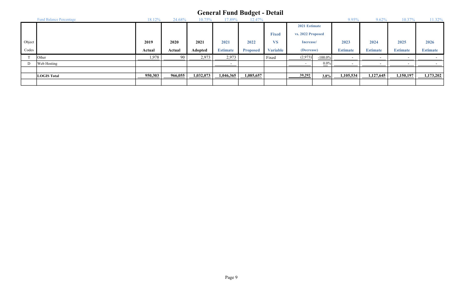#### Fund Balance Percentage 28.08% 18.12% 24.68% 10.75% 17.89% 12.47% 12.47% 9.95% 9.62% 10.37% 11.32% Fixed Object 2019 2020 2021 2021 2022 VS 2023 2024 2025 2026 Codes **Actual Actual Actual Adopted Estimate Proposed Variable (Decrease)** Estimate Estimate Estimate Estimate Estimate General Fund Budget - Detail 2021 Estimate (Decrease) Increase/ vs. 2022 Proposed T Other 90 1,978 2,973 2,973 Fixed (2,973) -100.0% - - - - D Web Hosting - 0.0% - - - - - LOGIS Total 950,303 966,055 1,032,073 1,046,365 1,085,657 39,292 3.8% 1,105,534 1,127,645 1,150,197 1,173,202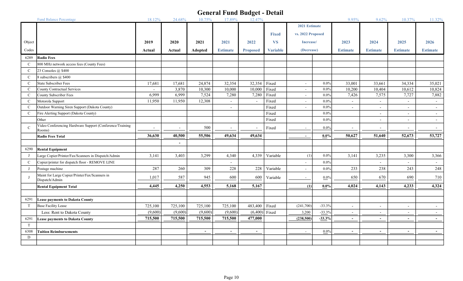|               | <b>Fund Balance Percentage</b>                                   | 18.12%                   | 24.68%                   | 10.75%  | 17.89%          | 12.47%          |                 |                   |           | 9.95%                    | 9.62%                    | 10.37%                   | 11.32%          |
|---------------|------------------------------------------------------------------|--------------------------|--------------------------|---------|-----------------|-----------------|-----------------|-------------------|-----------|--------------------------|--------------------------|--------------------------|-----------------|
|               |                                                                  |                          |                          |         |                 |                 |                 | 2021 Estimate     |           |                          |                          |                          |                 |
|               |                                                                  |                          |                          |         |                 |                 | <b>Fixed</b>    | vs. 2022 Proposed |           |                          |                          |                          |                 |
| Object        |                                                                  | 2019                     | 2020                     | 2021    | 2021            | 2022            | <b>VS</b>       | Increase/         |           | 2023                     | 2024                     | 2025                     | 2026            |
| Codes         |                                                                  | Actual                   | Actual                   | Adopted | <b>Estimate</b> | <b>Proposed</b> | <b>Variable</b> | (Decrease)        |           | <b>Estimate</b>          | <b>Estimate</b>          | <b>Estimate</b>          | <b>Estimate</b> |
| 6289          | <b>Radio Fees</b>                                                |                          |                          |         |                 |                 |                 |                   |           |                          |                          |                          |                 |
| $\mathbf C$   | 800 MHz network access fees (County Fees)                        |                          |                          |         |                 |                 |                 |                   |           |                          |                          |                          |                 |
| $\mathcal{C}$ | 23 Consoles @ \$400                                              |                          |                          |         |                 |                 |                 |                   |           |                          |                          |                          |                 |
| $\mathbf C$   | 8 subscribers $@$ \$400                                          |                          |                          |         |                 |                 |                 |                   |           |                          |                          |                          |                 |
| $\mathcal{C}$ | State Subscriber Fees                                            | 17,681                   | 17,681                   | 24,874  | 32,354          | 32,354          | Fixed           | $\sim$            | $0.0\%$   | 33,001                   | 33,661                   | 34,334                   | 35,021          |
| $\mathcal{C}$ | County Contractual Services                                      |                          | 3,870                    | 10,300  | 10,000          | 10,000          | Fixed           | $\sim$            | $0.0\%$   | 10,200                   | 10,404                   | 10,612                   | 10,824          |
| $\mathcal{C}$ | County Subscriber Fees                                           | 6,999                    | 6,999                    | 7,524   | 7,280           | 7,280           | Fixed           | $\sim$            | $0.0\%$   | 7,426                    | 7,575                    | 7,727                    | 7,882           |
| $\mathcal{C}$ | Motorola Support                                                 | 11,950                   | 11,950                   | 12,308  |                 |                 | Fixed           | $\sim$            | $0.0\%$   | $\blacksquare$           | $\overline{a}$           | $\sim$                   | $\sim$          |
| $\mathcal{C}$ | Outdoor Warning Siren Support (Dakota County)                    |                          |                          |         | $\sim$          |                 | Fixed           | $\sim$            | $0.0\%$   | $\blacksquare$           | $\sim$                   | $\sim$                   | $\sim$          |
| $\mathcal{C}$ | Fire Alerting Support (Dakota County)                            |                          |                          |         |                 |                 | Fixed           |                   | $0.0\%$   |                          | $\overline{\phantom{a}}$ | $\sim$                   | $\sim$          |
|               | Other                                                            |                          |                          |         |                 |                 | Fixed           |                   | $0.0\%$   |                          | $\blacksquare$           | $\sim$                   | $\sim$          |
| $\mathcal{C}$ | Video Conferencing Hardware Support (Conference/Training         | $\overline{\phantom{a}}$ | $\overline{\phantom{a}}$ | 500     |                 |                 | Fixed           | $\sim$            | $0.0\%$   | $\overline{\phantom{a}}$ | $\overline{\phantom{a}}$ | $\overline{\phantom{a}}$ | $\sim$          |
|               | Rooms)                                                           |                          |                          |         |                 |                 |                 |                   |           |                          |                          |                          |                 |
|               | <b>Radio Fees Total</b>                                          | 36,630                   | 40,500                   | 55,506  | 49,634          | 49,634          |                 | $\sim$            | $0.0\%$   | 50,627                   | 51,640                   | 52,673                   | 53,727          |
|               |                                                                  |                          | $\blacksquare$           |         |                 |                 |                 |                   |           |                          |                          |                          |                 |
| 6290          | <b>Rental Equipment</b>                                          |                          |                          |         |                 |                 |                 |                   |           |                          |                          |                          |                 |
| J             | Large Copier/Printer/Fax/Scanners in Dispatch/Admin              | 3,141                    | 3,403                    | 3,299   | 4,340           | 4,339           | Variable        | (1)               | $0.0\%$   | 3,141                    | 3,235                    | 3,300                    | 3,366           |
| $\mathcal{C}$ | Copier/printer for dispatch floor - REMOVE LINE                  |                          |                          |         | $\sim$          |                 |                 | $\sim$            | $0.0\%$   |                          | $\overline{a}$           | $\sim$                   | $\sim$          |
| $\mathbf{I}$  | Postage machine                                                  | 287                      | 260                      | 309     | 228             | 228             | Variable        | $\sim$            | $0.0\%$   | 233                      | 238                      | 243                      | 248             |
|               | Maint for Large Copier/Printer/Fax/Scanners in<br>Dispatch/Admin | 1,017                    | 587                      | 945     | 600             | 600             | Variable        | $\sim$            | $0.0\%$   | 650                      | 670                      | 690                      | 710             |
|               | <b>Rental Equipment Total</b>                                    | 4,445                    | 4,250                    | 4,553   | 5,168           | 5,167           |                 | (1)               | $0.0\%$   | 4,024                    | 4,143                    | 4,233                    | 4,324           |
|               |                                                                  |                          |                          |         |                 |                 |                 |                   |           |                          |                          |                          |                 |
| 6291          | <b>Lease payments to Dakota County</b>                           |                          |                          |         |                 |                 |                 |                   |           |                          |                          |                          |                 |
| T             | <b>Base Facility Lease</b>                                       | 725,100                  | 725,100                  | 725,100 | 725,100         | 483,400         | Fixed           | (241,700)         | $-33.3%$  | $\overline{\phantom{a}}$ | $\overline{\phantom{a}}$ | $\overline{\phantom{a}}$ | $\sim$          |
|               | Less: Rent to Dakota County                                      | (9,600)                  | (9,600)                  | (9,600) | (9,600)         | (6,400)         | Fixed           | 3,200             | $-33.3%$  | $\overline{\phantom{a}}$ | $\blacksquare$           | $\blacksquare$           |                 |
| 6291          | <b>Lease payments to Dakota County</b>                           | 715,500                  | 715,500                  | 715,500 | 715,500         | 477,000         |                 | (238,500)         | $-33.3\%$ | $\blacksquare$           | $\overline{\phantom{a}}$ | $\overline{\phantom{a}}$ | $\sim$          |
| T             |                                                                  |                          |                          |         |                 |                 |                 |                   |           |                          |                          |                          |                 |
| 6308          | <b>Tuition Reimbursements</b>                                    |                          |                          | $\sim$  | $\sim$          | $\sim$          |                 | $\sim$            | $0.0\%$   | $\overline{\phantom{a}}$ | $\blacksquare$           | $\sim$                   | $\sim$          |
| D             |                                                                  |                          |                          |         |                 |                 |                 |                   |           |                          |                          |                          |                 |
|               |                                                                  |                          |                          |         |                 |                 |                 |                   |           |                          |                          |                          |                 |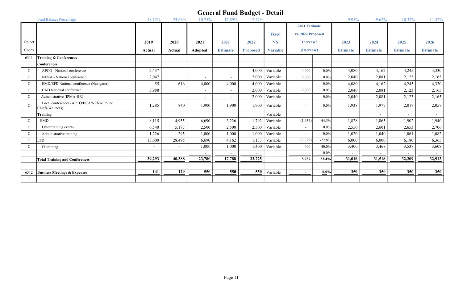|               | <b>Fund Balance Percentage</b>                              | 18.12%                   | 24.68%                   | 10.75%                   | 17.89%                   | 12.47%          |                 |                   |          | 9.95%           | 9.62%           | 10.37%                   | 11.32%          |
|---------------|-------------------------------------------------------------|--------------------------|--------------------------|--------------------------|--------------------------|-----------------|-----------------|-------------------|----------|-----------------|-----------------|--------------------------|-----------------|
|               |                                                             |                          |                          |                          |                          |                 |                 | 2021 Estimate     |          |                 |                 |                          |                 |
|               |                                                             |                          |                          |                          |                          |                 | <b>Fixed</b>    | vs. 2022 Proposed |          |                 |                 |                          |                 |
| Object        |                                                             | 2019                     | 2020                     | 2021                     | 2021                     | 2022            | <b>VS</b>       | Increase/         |          | 2023            | 2024            | 2025                     | 2026            |
|               |                                                             |                          |                          |                          |                          |                 |                 |                   |          |                 |                 |                          |                 |
| Codes         |                                                             | Actual                   | Actual                   | Adopted                  | <b>Estimate</b>          | <b>Proposed</b> | <b>Variable</b> | (Decrease)        |          | <b>Estimate</b> | <b>Estimate</b> | <b>Estimate</b>          | <b>Estimate</b> |
| 6311          | <b>Training &amp; Conferences</b>                           |                          |                          |                          |                          |                 |                 |                   |          |                 |                 |                          |                 |
|               | <b>Conferences</b>                                          |                          |                          |                          |                          |                 |                 |                   |          |                 |                 |                          |                 |
| $\mathcal{C}$ | APCO - National conference                                  | 2,437                    |                          |                          | $\sim$                   | 4,000           | Variable        | 4,000             | $0.0\%$  | 4,080           | 4,162           | 4,245                    | 4,330           |
| $\mathcal{C}$ | NENA - National conference                                  | 2,047                    |                          |                          | $\sim$                   | 2,000           | Variable        | 2,000             | $0.0\%$  | 2,040           | 2,081           | 2,123                    | 2,165           |
| $\mathcal{C}$ | EMD/EFD National conference (Navigator)                     | 55                       | 616                      | 4,000                    | 4.000                    | 4,000           | Variable        |                   | $0.0\%$  | 4,080           | 4,162           | 4,245                    | 4,330           |
| $\mathcal{C}$ | CAD National conference                                     | 3,988                    |                          | $\overline{\phantom{a}}$ | $\overline{\phantom{a}}$ | 2.000           | Variable        | 2,000             | $0.0\%$  | 2,040           | 2,081           | 2,123                    | 2,165           |
| $\mathbf C$   | Administrative (IPMA-HR)                                    |                          |                          |                          | $\overline{\phantom{0}}$ | 2,000           | Variable        |                   | $0.0\%$  | 2,040           | 2,081           | 2,123                    | 2,165           |
| $\mathcal{C}$ | Local conferences (APCO/BCA/NENA/Police<br>Chiefs/Wellness) | 1,285                    | 840                      | 1,900                    | 1,900                    | 1.900           | Variable        | $\sim$            | $0.0\%$  | 1,938           | 1,977           | 2,017                    | 2,057           |
|               | Training                                                    |                          |                          |                          |                          |                 | Variable        |                   |          |                 | $\overline{a}$  | $\overline{\phantom{a}}$ | $\sim$          |
| $\mathcal{C}$ | <b>EMD</b>                                                  | 8,115                    | 4,955                    | 6,690                    | 3,226                    | 1.792           | Variable        | (1, 434)          | $-44.5%$ | 1,828           | 1,865           | 1,902                    | 1,940           |
| $\mathcal{C}$ | Other training events                                       | 6,540                    | 5,187                    | 2,500                    | 2,500                    | 2,500           | Variable        | $\sim$            | $0.0\%$  | 2,550           | 2,601           | 2,653                    | 2,706           |
| $\mathcal{C}$ | Administrative training                                     | 1,226                    | 295                      | 1,000                    | 1,000                    | 1,000           | Variable        | $\sim$            | $0.0\%$  | 1,020           | 1,040           | 1,061                    | 1,082           |
| $\mathcal{C}$ | EFD                                                         | 13,600                   | 28,495                   | 6,690                    | 4,162                    | 1,133           | Variable        | (3,029)           | $-72.8%$ | 6,000           | 6,000           | 6,180                    | 6,365           |
| $\mathcal{C}$ | IT training                                                 | $\overline{\phantom{a}}$ | $\overline{\phantom{a}}$ | 1,000                    | 1,000                    | 1,400           | Variable        | 400               | 40.0%    | 3,400           | 3,468           | 3,537                    | 3,608           |
|               |                                                             |                          |                          |                          | $\sim$                   |                 |                 | $\sim$            | $0.0\%$  |                 |                 |                          |                 |
|               | <b>Total Training and Conferences</b>                       | 39,293                   | 40,388                   | 23,780                   | 17,788                   | 23,725          |                 | 5,937             | 33.4%    | 31,016          | 31,518          | 32,209                   | 32,913          |
|               |                                                             |                          |                          |                          |                          |                 |                 |                   |          |                 |                 |                          |                 |
| 6312          | <b>Business Meetings &amp; Expenses</b>                     | 141                      | 129                      | 550                      | 550                      | 550             | Variable        | $\sim$            | $0.0\%$  | 350             | 350             | 350                      | 350             |
|               |                                                             |                          |                          |                          |                          |                 |                 |                   |          |                 |                 |                          |                 |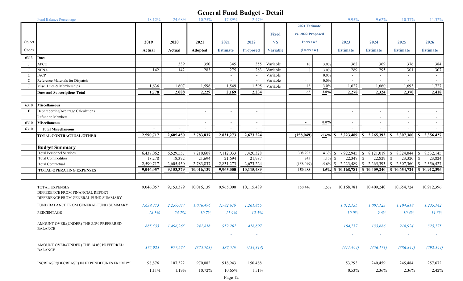|              | <b>Fund Balance Percentage</b>              | 18.12%    | 24.68%    | 10.75%                | 17.89%                   | ັ<br>12.47%              |                 |                   |            | 9.95%                    | 9.62%                       | 10.37%                    | 11.32%                   |
|--------------|---------------------------------------------|-----------|-----------|-----------------------|--------------------------|--------------------------|-----------------|-------------------|------------|--------------------------|-----------------------------|---------------------------|--------------------------|
|              |                                             |           |           |                       |                          |                          |                 | 2021 Estimate     |            |                          |                             |                           |                          |
|              |                                             |           |           |                       |                          |                          | <b>Fixed</b>    | vs. 2022 Proposed |            |                          |                             |                           |                          |
|              |                                             |           |           |                       |                          |                          |                 |                   |            |                          |                             |                           |                          |
| Object       |                                             | 2019      | 2020      | 2021                  | 2021                     | 2022                     | <b>VS</b>       | Increase/         |            | 2023                     | 2024                        | 2025                      | 2026                     |
| Codes        |                                             | Actual    | Actual    | Adopted               | <b>Estimate</b>          | <b>Proposed</b>          | <b>Variable</b> | (Decrease)        |            | <b>Estimate</b>          | <b>Estimate</b>             | <b>Estimate</b>           | <b>Estimate</b>          |
| 6313         | Dues                                        |           |           |                       |                          |                          |                 |                   |            |                          |                             |                           |                          |
| $\mathbf{J}$ | <b>APCO</b>                                 |           | 339       | 350                   | 345                      | 355                      | Variable        | 10                | 3.0%       | 362                      | 369                         | 376                       | 384                      |
| $\bf{J}$     | NENA                                        | 142       | 142       | 283                   | 275                      | 283                      | Variable        | 8                 | $3.0\%$    | 289                      | 295                         | 301                       | 307                      |
| $\mathbf{C}$ | <b>IACP</b>                                 |           |           |                       | $\sim$                   | $\overline{\phantom{a}}$ | Variable        |                   | $0.0\%$    | $\sim$                   | $\blacksquare$              | $\sim$                    | $\sim$                   |
| $\mathbf{C}$ | Reference Materials for Dispatch            |           |           |                       | $\sim$                   | $\overline{\phantom{a}}$ | Variable        | $\sim$            | $0.0\%$    | $\overline{\phantom{a}}$ | $\sim$                      | $\sim$                    | $\sim$                   |
| $\mathbf{I}$ | Misc. Dues & Memberships                    | 1,636     | 1,607     | 1,596                 | 1,549                    | 1,595                    | Variable        | 46                | 3.0%       | 1,627                    | 1,660                       | 1,693                     | 1,727                    |
|              | Dues and Subscriptions Total                | 1,778     | 2,088     | 2,229                 | 2,169                    | 2,234                    |                 | 65                | 3.0%       | 2,278                    | 2,324                       | 2,370                     | 2,418                    |
|              |                                             |           |           |                       |                          |                          |                 |                   |            |                          |                             |                           |                          |
| 6310         | Miscellaneous                               |           |           |                       |                          |                          |                 |                   |            |                          |                             |                           |                          |
| F            | Debt reporting/Arbitrage Calculations       |           |           | $\tilde{\phantom{a}}$ | $\sim$                   |                          |                 |                   |            | $\overline{\phantom{a}}$ | $\overline{\phantom{a}}$    | $\sim$                    | $\sim$                   |
|              | Refund to Members                           |           |           |                       |                          |                          |                 |                   |            |                          |                             | $\overline{\phantom{a}}$  | $\overline{\phantom{a}}$ |
| 6310         | <b>Miscellaneous</b>                        |           |           | $\sim$                | $\overline{\phantom{a}}$ | $\overline{\phantom{a}}$ |                 | $\sim$            | $0.0\%$    | $\overline{\phantom{a}}$ | $\overline{a}$              | $\sim$                    | $\sim$                   |
| 6310         | <b>Total Miscellaneous</b>                  |           |           |                       | $\sim$                   |                          |                 | $\sim$            |            |                          |                             |                           |                          |
|              | <b>TOTAL CONTRACTUAL/OTHER</b>              | 2,590,717 | 2,605,450 | 2,783,837             | 2,831,273                | 2,673,224                |                 | (158, 049)        |            | $-5.6\%$ \$ 2,223,489    | $\frac{1}{2}$ , 2, 265, 393 | \$2,307,360               | \$2,356,427              |
|              |                                             |           |           |                       |                          |                          |                 |                   |            |                          |                             |                           |                          |
|              | <b>Budget Summary</b>                       |           |           |                       |                          |                          |                 |                   |            |                          |                             |                           |                          |
|              | <b>Total Personnel Services</b>             | 6,437,062 | 6,529,557 | 7,210,608             | 7,112,033                | 7,420,328                |                 | 308,295           | 4.3% $$$   |                          | 8,121,019                   | 8,324,044<br><sup>S</sup> | 8,532,145<br>$\sqrt{S}$  |
|              | <b>Total Commodities</b>                    | 18,278    | 18,372    | 21,694                | 21,694                   | 21,937                   |                 | 243               | $1.1\%$ \$ |                          | 22,829                      | 23,320<br>-S              | 23,824<br>l S            |
|              | <b>Total Contractual</b>                    | 2,590,717 | 2,605,450 | 2,783,837             | 2,831,273                | 2,673,224                |                 | (158,049)         |            | $-5.6\%$ \$ 2,223,489    | 2,265,393<br><sup>S</sup>   | 2,307,360<br><sup>S</sup> | 2,356,427<br>l S         |
|              | <b>TOTAL OPERATING EXPENSES</b>             | 9,046,057 | 9,153,379 | 10,016,139            | 9,965,000                | 10,115,489               |                 | 150,488           |            | 1.5% \$10,168,781        | \$10,409,240                | \$10,654,724              | \$10,912,396             |
|              |                                             |           |           |                       |                          |                          |                 |                   |            |                          |                             |                           |                          |
|              | <b>TOTAL EXPENSES</b>                       | 9,046,057 | 9,153,379 | 10,016,139            | 9,965,000                | 10,115,489               |                 | 150,446           | $1.5\%$    | 10,168,781               | 10,409,240                  | 10,654,724                | 10,912,396               |
|              | DIFFERENCE FROM FINANCIAL REPORT            |           |           |                       |                          |                          |                 |                   |            |                          |                             |                           |                          |
|              | DIFFERENCE FROM GENERAL FUND SUMMARY        |           |           |                       |                          |                          |                 |                   |            |                          |                             |                           |                          |
|              | FUND BALANCE FROM GENERAL FUND SUMMARY      | 1,639,373 | 2,259,047 | 1,076,496             | 1,782,619                | 1,261,855                |                 |                   |            | 1,012,135                | 1,001,123                   | 1,104,818                 | 1,235,142                |
|              | PERCENTAGE                                  | 18.1%     | 24.7%     | 10.7%                 | 17.9%                    | 12.5%                    |                 |                   |            | 10.0%                    | 9.6%                        | 10.4%                     | 11.3%                    |
|              |                                             |           |           |                       |                          |                          |                 |                   |            |                          |                             |                           |                          |
|              | AMOUNT OVER/(UNDER) THE 8.3% PREFERRED      | 885,535   | 1,496,265 | 241,818               | 952,202                  | 418,897                  |                 |                   |            | 164,737                  | 133,686                     | 216,924                   | 325,775                  |
|              | <b>BALANCE</b>                              |           |           |                       |                          |                          |                 |                   |            |                          |                             |                           |                          |
|              |                                             |           |           |                       | $\sim$                   | $\sim$                   |                 |                   |            | $\sim$                   |                             | $\overline{\phantom{a}}$  | $\sim$                   |
|              | AMOUNT OVER/(UNDER) THE 14.0% PREFERRED     |           |           |                       |                          |                          |                 |                   |            |                          |                             |                           |                          |
|              | <b>BALANCE</b>                              | 372,925   | 977,574   | (325, 763)            | 387,519                  | (154, 314)               |                 |                   |            | (411, 494)               | (456, 171)                  | (386, 844)                | (292, 594)               |
|              | INCREASE/(DECREASE) IN EXPENDITURES FROM PY |           |           |                       |                          |                          |                 |                   |            |                          |                             |                           |                          |
|              |                                             | 98,876    | 107,322   | 970,082               | 918,943                  | 150,488                  |                 |                   |            | 53,293                   | 240,459                     | 245,484                   | 257,672                  |
|              |                                             | 1.11%     | 1.19%     | 10.72%                | 10.65%                   | 1.51%                    |                 |                   |            | 0.53%                    | 2.36%                       | 2.36%                     | 2.42%                    |
|              |                                             |           |           |                       |                          |                          |                 |                   |            |                          |                             |                           |                          |

Page 12